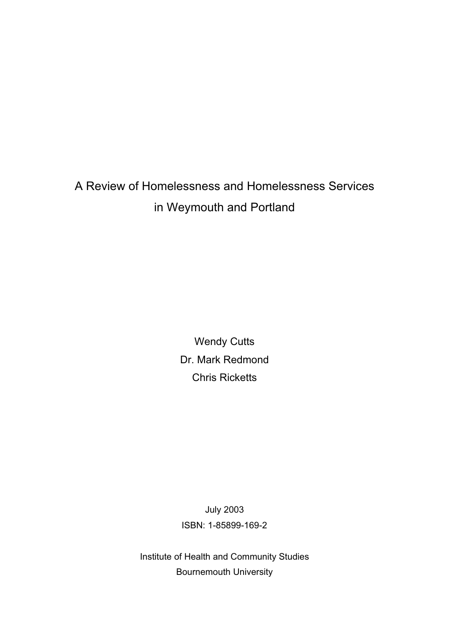# A Review of Homelessness and Homelessness Services in Weymouth and Portland

**Wendy Cutts** Dr. Mark Redmond Chris Ricketts

July 2003 ISBN: 1-85899-169-2

Institute of Health and Community Studies Bournemouth University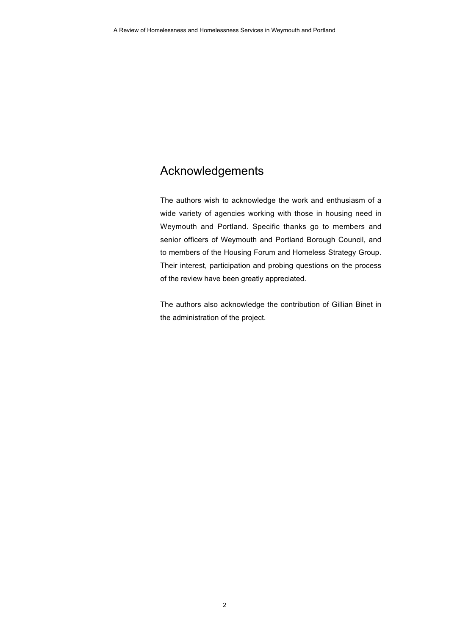## Acknowledgements

The authors wish to acknowledge the work and enthusiasm of a wide variety of agencies working with those in housing need in Weymouth and Portland. Specific thanks go to members and senior officers of Weymouth and Portland Borough Council, and to members of the Housing Forum and Homeless Strategy Group. Their interest, participation and probing questions on the process of the review have been greatly appreciated.

The authors also acknowledge the contribution of Gillian Binet in the administration of the project.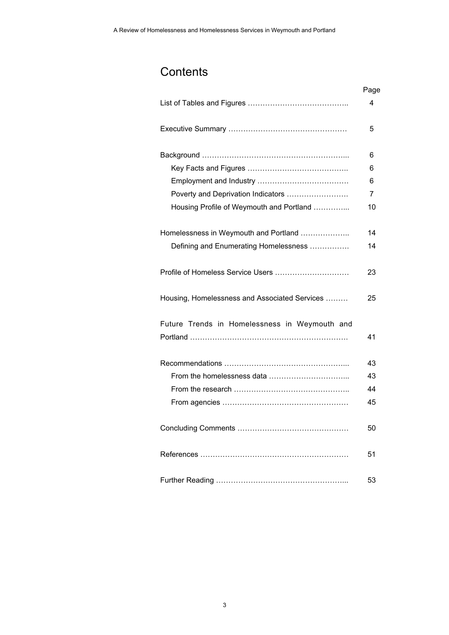## **Contents**

|                                               | Page           |
|-----------------------------------------------|----------------|
|                                               | 4              |
|                                               | 5              |
|                                               | 6              |
|                                               | 6              |
|                                               | 6              |
| Poverty and Deprivation Indicators            | $\overline{7}$ |
| Housing Profile of Weymouth and Portland      | 10             |
| Homelessness in Weymouth and Portland         | 14             |
| Defining and Enumerating Homelessness         | 14             |
| Profile of Homeless Service Users             | 23             |
| Housing, Homelessness and Associated Services | 25             |
| Future Trends in Homelessness in Weymouth and |                |
|                                               | 41             |
|                                               | 43             |
|                                               | 43             |
|                                               | 44             |
|                                               | 45             |
|                                               | 50             |
|                                               | 51             |
|                                               | 53             |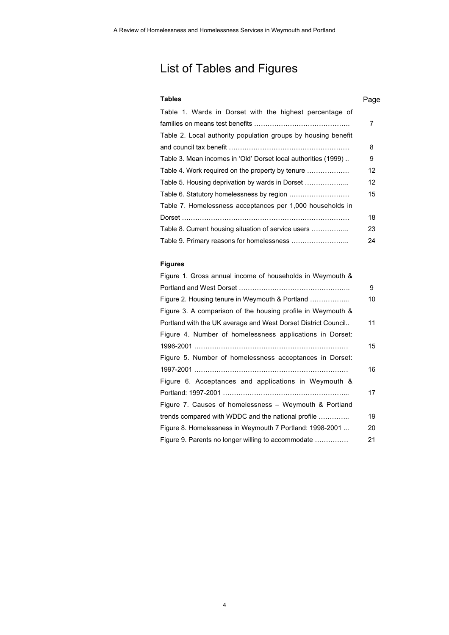## List of Tables and Figures

### **Tables** Page

| Table 1. Wards in Dorset with the highest percentage of        |                 |
|----------------------------------------------------------------|-----------------|
|                                                                | 7               |
| Table 2. Local authority population groups by housing benefit  |                 |
|                                                                | 8               |
| Table 3. Mean incomes in 'Old' Dorset local authorities (1999) | 9               |
| Table 4. Work required on the property by tenure               | 12              |
| Table 5. Housing deprivation by wards in Dorset                | 12 <sup>2</sup> |
|                                                                | 15              |
| Table 7. Homelessness acceptances per 1,000 households in      |                 |
|                                                                | 18              |
| Table 8. Current housing situation of service users            | 23              |
|                                                                | 24              |

### **Figures**

| Figure 1. Gross annual income of households in Weymouth &     |    |
|---------------------------------------------------------------|----|
|                                                               | 9  |
| Figure 2. Housing tenure in Weymouth & Portland               | 10 |
| Figure 3. A comparison of the housing profile in Weymouth &   |    |
| Portland with the UK average and West Dorset District Council | 11 |
| Figure 4. Number of homelessness applications in Dorset:      |    |
|                                                               | 15 |
| Figure 5. Number of homelessness acceptances in Dorset:       |    |
|                                                               | 16 |
| Figure 6. Acceptances and applications in Weymouth &          |    |
|                                                               | 17 |
| Figure 7. Causes of homelessness - Weymouth & Portland        |    |
| trends compared with WDDC and the national profile            | 19 |
| Figure 8. Homelessness in Weymouth 7 Portland: 1998-2001      | 20 |
| Figure 9. Parents no longer willing to accommodate            | 21 |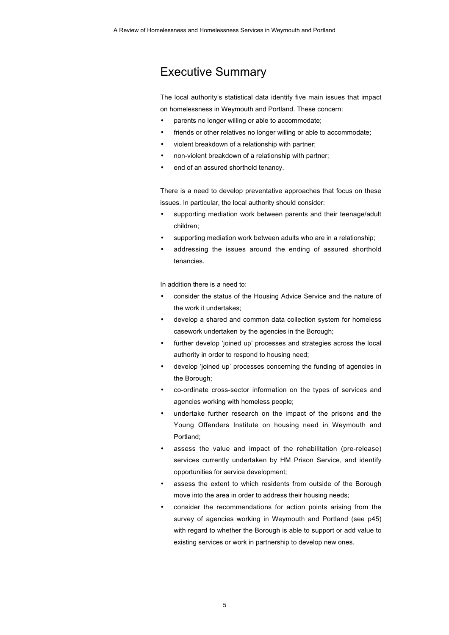## Executive Summary

The local authority's statistical data identify five main issues that impact on homelessness in Weymouth and Portland. These concern:

- parents no longer willing or able to accommodate;
- friends or other relatives no longer willing or able to accommodate;
- violent breakdown of a relationship with partner;
- non-violent breakdown of a relationship with partner;
- end of an assured shorthold tenancy.

There is a need to develop preventative approaches that focus on these issues. In particular, the local authority should consider:

- supporting mediation work between parents and their teenage/adult children;
- supporting mediation work between adults who are in a relationship;
- addressing the issues around the ending of assured shorthold tenancies.

In addition there is a need to:

- consider the status of the Housing Advice Service and the nature of the work it undertakes;
- develop a shared and common data collection system for homeless casework undertaken by the agencies in the Borough;
- further develop 'joined up' processes and strategies across the local authority in order to respond to housing need;
- develop 'joined up' processes concerning the funding of agencies in the Borough;
- co-ordinate cross-sector information on the types of services and agencies working with homeless people;
- undertake further research on the impact of the prisons and the Young Offenders Institute on housing need in Weymouth and Portland;
- assess the value and impact of the rehabilitation (pre-release) services currently undertaken by HM Prison Service, and identify opportunities for service development;
- assess the extent to which residents from outside of the Borough move into the area in order to address their housing needs;
- consider the recommendations for action points arising from the survey of agencies working in Weymouth and Portland (see p45) with regard to whether the Borough is able to support or add value to existing services or work in partnership to develop new ones.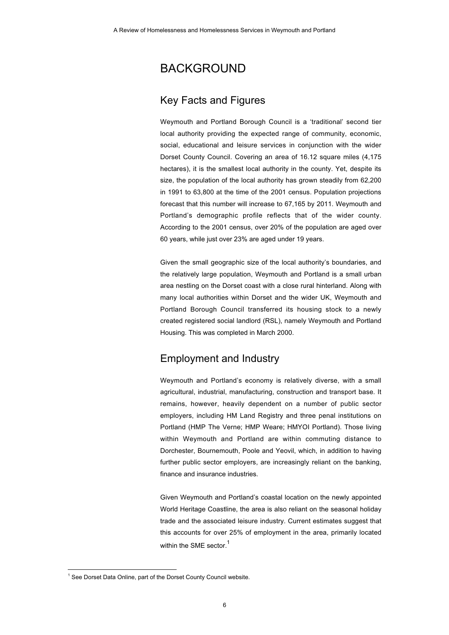## BACKGROUND

### Key Facts and Figures

Weymouth and Portland Borough Council is a 'traditional' second tier local authority providing the expected range of community, economic, social, educational and leisure services in conjunction with the wider Dorset County Council. Covering an area of 16.12 square miles (4,175 hectares), it is the smallest local authority in the county. Yet, despite its size, the population of the local authority has grown steadily from 62,200 in 1991 to 63,800 at the time of the 2001 census. Population projections forecast that this number will increase to 67,165 by 2011. Weymouth and Portland's demographic profile reflects that of the wider county. According to the 2001 census, over 20% of the population are aged over 60 years, while just over 23% are aged under 19 years.

Given the small geographic size of the local authority's boundaries, and the relatively large population, Weymouth and Portland is a small urban area nestling on the Dorset coast with a close rural hinterland. Along with many local authorities within Dorset and the wider UK, Weymouth and Portland Borough Council transferred its housing stock to a newly created registered social landlord (RSL), namely Weymouth and Portland Housing. This was completed in March 2000.

### Employment and Industry

Weymouth and Portland's economy is relatively diverse, with a small agricultural, industrial, manufacturing, construction and transport base. It remains, however, heavily dependent on a number of public sector employers, including HM Land Registry and three penal institutions on Portland (HMP The Verne; HMP Weare; HMYOI Portland). Those living within Weymouth and Portland are within commuting distance to Dorchester, Bournemouth, Poole and Yeovil, which, in addition to having further public sector employers, are increasingly reliant on the banking, finance and insurance industries.

Given Weymouth and Portland's coastal location on the newly appointed World Heritage Coastline, the area is also reliant on the seasonal holiday trade and the associated leisure industry. Current estimates suggest that this accounts for over 25% of employment in the area, primarily located within the SME sector.<sup>1</sup>

 $\frac{1}{1}$  $1$  See Dorset Data Online, part of the Dorset County Council website.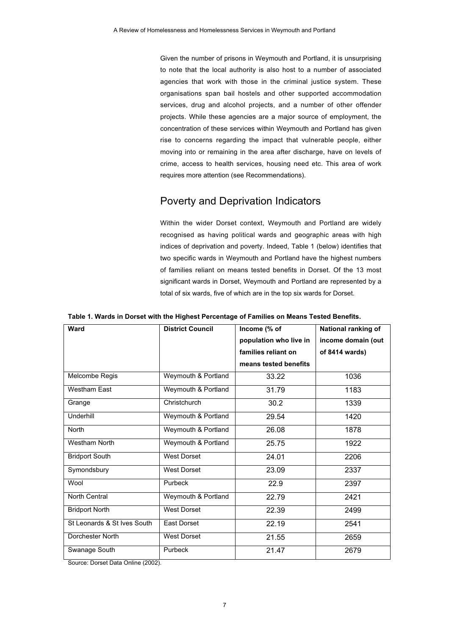Given the number of prisons in Weymouth and Portland, it is unsurprising to note that the local authority is also host to a number of associated agencies that work with those in the criminal justice system. These organisations span bail hostels and other supported accommodation services, drug and alcohol projects, and a number of other offender projects. While these agencies are a major source of employment, the concentration of these services within Weymouth and Portland has given rise to concerns regarding the impact that vulnerable people, either moving into or remaining in the area after discharge, have on levels of crime, access to health services, housing need etc. This area of work requires more attention (see Recommendations).

## Poverty and Deprivation Indicators

Within the wider Dorset context, Weymouth and Portland are widely recognised as having political wards and geographic areas with high indices of deprivation and poverty. Indeed, Table 1 (below) identifies that two specific wards in Weymouth and Portland have the highest numbers of families reliant on means tested benefits in Dorset. Of the 13 most significant wards in Dorset, Weymouth and Portland are represented by a total of six wards, five of which are in the top six wards for Dorset.

| Ward                        | <b>District Council</b> | Income (% of           | National ranking of |
|-----------------------------|-------------------------|------------------------|---------------------|
|                             |                         | population who live in | income domain (out  |
|                             |                         | families reliant on    | of 8414 wards)      |
|                             |                         | means tested benefits  |                     |
| Melcombe Regis              | Weymouth & Portland     | 33.22                  | 1036                |
| <b>Westham East</b>         | Weymouth & Portland     | 31.79                  | 1183                |
| Grange                      | Christchurch            | 30.2                   | 1339                |
| Underhill                   | Weymouth & Portland     | 29.54                  | 1420                |
| <b>North</b>                | Weymouth & Portland     | 26.08                  | 1878                |
| <b>Westham North</b>        | Weymouth & Portland     | 25.75                  | 1922                |
| <b>Bridport South</b>       | <b>West Dorset</b>      | 24.01                  | 2206                |
| Symondsbury                 | West Dorset             | 23.09                  | 2337                |
| Wool                        | Purbeck                 | 22.9                   | 2397                |
| North Central               | Weymouth & Portland     | 22.79                  | 2421                |
| <b>Bridport North</b>       | <b>West Dorset</b>      | 22.39                  | 2499                |
| St Leonards & St Ives South | East Dorset             | 22.19                  | 2541                |
| Dorchester North            | <b>West Dorset</b>      | 21.55                  | 2659                |
| Swanage South               | Purbeck                 | 21.47                  | 2679                |

**Table 1. Wards in Dorset with the Highest Percentage of Families on Means Tested Benefits.**

Source: Dorset Data Online (2002).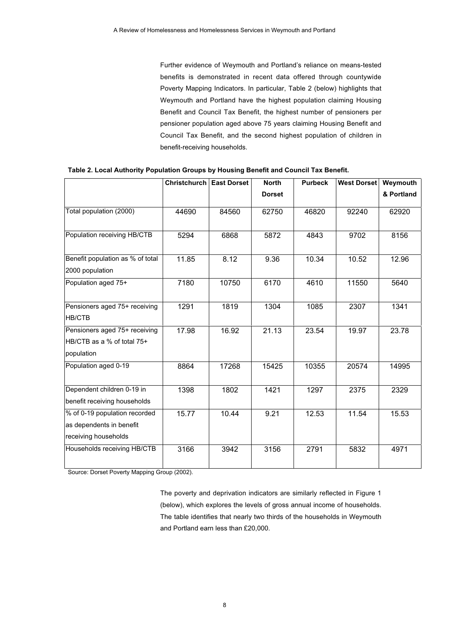Further evidence of Weymouth and Portland's reliance on means-tested benefits is demonstrated in recent data offered through countywide Poverty Mapping Indicators. In particular, Table 2 (below) highlights that Weymouth and Portland have the highest population claiming Housing Benefit and Council Tax Benefit, the highest number of pensioners per pensioner population aged above 75 years claiming Housing Benefit and Council Tax Benefit, and the second highest population of children in benefit-receiving households.

|                                  | <b>Christchurch</b> | <b>East Dorset</b> | <b>North</b>  | <b>Purbeck</b> | <b>West Dorset</b> | Weymouth   |
|----------------------------------|---------------------|--------------------|---------------|----------------|--------------------|------------|
|                                  |                     |                    | <b>Dorset</b> |                |                    | & Portland |
| Total population (2000)          | 44690               | 84560              | 62750         | 46820          | 92240              | 62920      |
| Population receiving HB/CTB      | 5294                | 6868               | 5872          | 4843           | 9702               | 8156       |
| Benefit population as % of total | 11.85               | 8.12               | 9.36          | 10.34          | 10.52              | 12.96      |
| 2000 population                  |                     |                    |               |                |                    |            |
| Population aged 75+              | 7180                | 10750              | 6170          | 4610           | 11550              | 5640       |
| Pensioners aged 75+ receiving    | 1291                | 1819               | 1304          | 1085           | 2307               | 1341       |
| <b>HB/CTB</b>                    |                     |                    |               |                |                    |            |
| Pensioners aged 75+ receiving    | 17.98               | 16.92              | 21.13         | 23.54          | 19.97              | 23.78      |
| HB/CTB as a % of total 75+       |                     |                    |               |                |                    |            |
| population                       |                     |                    |               |                |                    |            |
| Population aged 0-19             | 8864                | 17268              | 15425         | 10355          | 20574              | 14995      |
| Dependent children 0-19 in       | 1398                | 1802               | 1421          | 1297           | 2375               | 2329       |
| benefit receiving households     |                     |                    |               |                |                    |            |
| % of 0-19 population recorded    | 15.77               | 10.44              | 9.21          | 12.53          | 11.54              | 15.53      |
| as dependents in benefit         |                     |                    |               |                |                    |            |
| receiving households             |                     |                    |               |                |                    |            |
| Households receiving HB/CTB      | 3166                | 3942               | 3156          | 2791           | 5832               | 4971       |

**Table 2. Local Authority Population Groups by Housing Benefit and Council Tax Benefit.**

Source: Dorset Poverty Mapping Group (2002).

The poverty and deprivation indicators are similarly reflected in Figure 1 (below), which explores the levels of gross annual income of households. The table identifies that nearly two thirds of the households in Weymouth and Portland earn less than £20,000.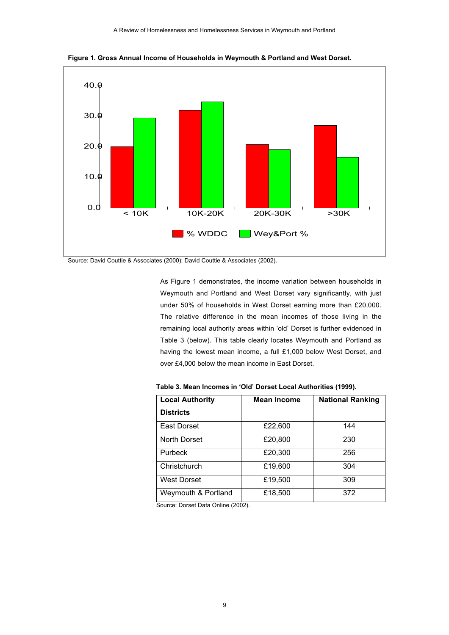

**Figure 1. Gross Annual Income of Households in Weymouth & Portland and West Dorset.**

Source: David Couttie & Associates (2000); David Couttie & Associates (2002).

As Figure 1 demonstrates, the income variation between households in Weymouth and Portland and West Dorset vary significantly, with just under 50% of households in West Dorset earning more than £20,000. The relative difference in the mean incomes of those living in the remaining local authority areas within 'old' Dorset is further evidenced in Table 3 (below). This table clearly locates Weymouth and Portland as having the lowest mean income, a full £1,000 below West Dorset, and over £4,000 below the mean income in East Dorset.

| <b>Local Authority</b> | <b>Mean Income</b> | <b>National Ranking</b> |
|------------------------|--------------------|-------------------------|
| <b>Districts</b>       |                    |                         |
| East Dorset            | £22,600            | 144                     |
| North Dorset           | £20,800            | 230                     |
| Purbeck                | £20,300            | 256                     |
| Christchurch           | £19,600            | 304                     |
| West Dorset            | £19,500            | 309                     |
| Weymouth & Portland    | £18,500            | 372                     |

**Table 3. Mean Incomes in 'Old' Dorset Local Authorities (1999).**

Source: Dorset Data Online (2002).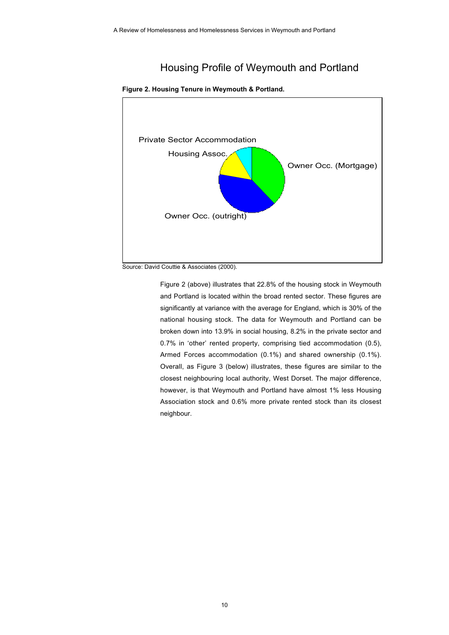## Housing Profile of Weymouth and Portland



#### **Figure 2. Housing Tenure in Weymouth & Portland.**

Figure 2 (above) illustrates that 22.8% of the housing stock in Weymouth and Portland is located within the broad rented sector. These figures are significantly at variance with the average for England, which is 30% of the national housing stock. The data for Weymouth and Portland can be broken down into 13.9% in social housing, 8.2% in the private sector and 0.7% in 'other' rented property, comprising tied accommodation (0.5), Armed Forces accommodation (0.1%) and shared ownership (0.1%). Overall, as Figure 3 (below) illustrates, these figures are similar to the closest neighbouring local authority, West Dorset. The major difference, however, is that Weymouth and Portland have almost 1% less Housing Association stock and 0.6% more private rented stock than its closest neighbour.

Source: David Couttie & Associates (2000).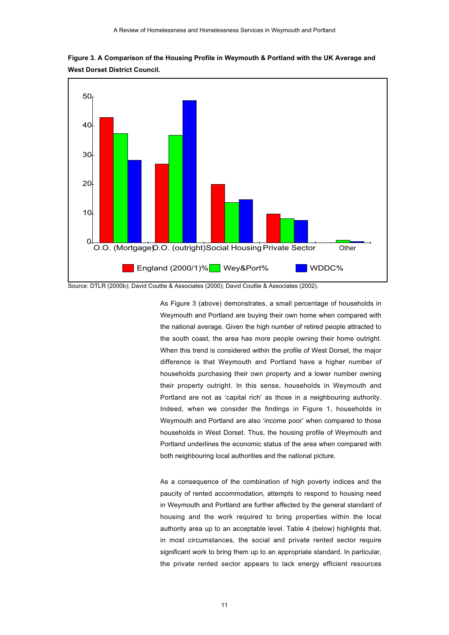

**Figure 3. A Comparison of the Housing Profile in Weymouth & Portland with the UK Average and West Dorset District Council.**

#### Source: DTLR (2000b); David Couttie & Associates (2000); David Couttie & Associates (2002).

As Figure 3 (above) demonstrates, a small percentage of households in Weymouth and Portland are buying their own home when compared with the national average. Given the high number of retired people attracted to the south coast, the area has more people owning their home outright. When this trend is considered within the profile of West Dorset, the major difference is that Weymouth and Portland have a higher number of households purchasing their own property and a lower number owning their property outright. In this sense, households in Weymouth and Portland are not as 'capital rich' as those in a neighbouring authority. Indeed, when we consider the findings in Figure 1, households in Weymouth and Portland are also 'income poor' when compared to those households in West Dorset. Thus, the housing profile of Weymouth and Portland underlines the economic status of the area when compared with both neighbouring local authorities and the national picture.

As a consequence of the combination of high poverty indices and the paucity of rented accommodation, attempts to respond to housing need in Weymouth and Portland are further affected by the general standard of housing and the work required to bring properties within the local authority area up to an acceptable level. Table 4 (below) highlights that, in most circumstances, the social and private rented sector require significant work to bring them up to an appropriate standard. In particular, the private rented sector appears to lack energy efficient resources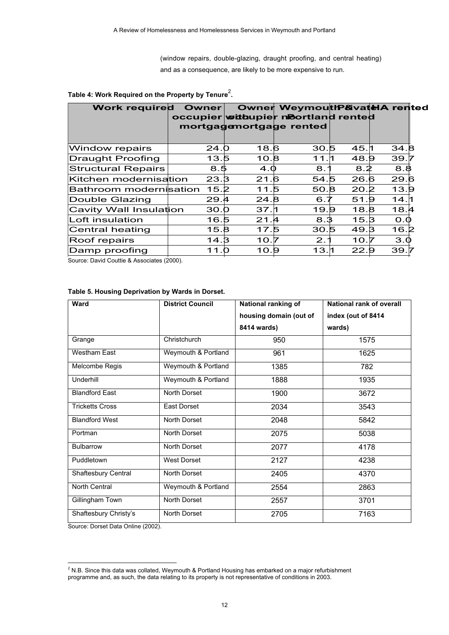(window repairs, double-glazing, draught proofing, and central heating) and as a consequence, are likely to be more expensive to run.

| <b>Work required</b>      | <b>Owner</b>     |      | Owner WeymouthP&vateIA rented<br>occupier withupier noortland rented |      |      |  |
|---------------------------|------------------|------|----------------------------------------------------------------------|------|------|--|
|                           |                  |      | mortgagemortgage rented                                              |      |      |  |
|                           |                  |      |                                                                      |      |      |  |
| Window repairs            | 24. <sub>D</sub> | 18.6 | 30.5                                                                 | 45.1 | 34.8 |  |
| <b>Draught Proofing</b>   | 13.5             | 10.8 | 11.1                                                                 | 48.9 | 39.5 |  |
| <b>Structural Repairs</b> | 8.5              | 4.0  | 8.                                                                   | 8.2  | 8.8  |  |
| Kitchen modernisation     | 23.B             | 21.6 | 54.5                                                                 | 26.6 | 29.6 |  |
| Bathroom modernisation    | 15.2             | 11.5 | 50.8                                                                 | 20.2 | 13.9 |  |
| Double Glazing            | 29.4             | 24.8 | 6.7                                                                  | 51.9 | 14.h |  |
| Cavity Wall Insulation    | 30.0             | 37.1 | 19.9                                                                 | 18.8 | 18.4 |  |
| Loft insulation           | 16.5             | 21.4 | 8.3                                                                  | 15.3 | O.0  |  |
| Central heating           | 15.8             | 17.5 | 30.5                                                                 | 49.3 | 16.2 |  |
| Roof repairs              | 14.3             | 10.7 | 2.1                                                                  | 10.7 | 3.0  |  |
| Damp proofing             | 11.0             | 10.9 | 13.1                                                                 | 22.9 | 39.  |  |

### Table 4: Work Required on the Property by Tenure<sup>2</sup>.

Source: David Couttie & Associates (2000).

| <b>Ward</b>            | <b>District Council</b> | National ranking of    | <b>National rank of overall</b> |
|------------------------|-------------------------|------------------------|---------------------------------|
|                        |                         | housing domain (out of | index (out of 8414)             |
|                        |                         | 8414 wards)            | wards)                          |
| Grange                 | Christchurch            | 950                    | 1575                            |
| <b>Westham East</b>    | Weymouth & Portland     | 961                    | 1625                            |
| Melcombe Regis         | Weymouth & Portland     | 1385                   | 782                             |
| Underhill              | Weymouth & Portland     | 1888                   | 1935                            |
| <b>Blandford East</b>  | North Dorset            | 1900                   | 3672                            |
| <b>Tricketts Cross</b> | East Dorset             | 2034                   | 3543                            |
| <b>Blandford West</b>  | North Dorset            | 2048                   | 5842                            |
| Portman                | North Dorset            | 2075                   | 5038                            |
| <b>Bulbarrow</b>       | North Dorset            | 2077                   | 4178                            |
| Puddletown             | <b>West Dorset</b>      | 2127                   | 4238                            |
| Shaftesbury Central    | North Dorset            | 2405                   | 4370                            |
| North Central          | Weymouth & Portland     | 2554                   | 2863                            |
| Gillingham Town        | North Dorset            | 2557                   | 3701                            |
| Shaftesbury Christy's  | North Dorset            | 2705                   | 7163                            |

### **Table 5. Housing Deprivation by Wards in Dorset.**

Source: Dorset Data Online (2002).

 $\overline{2}$  $2$  N.B. Since this data was collated, Weymouth & Portland Housing has embarked on a major refurbishment programme and, as such, the data relating to its property is not representative of conditions in 2003.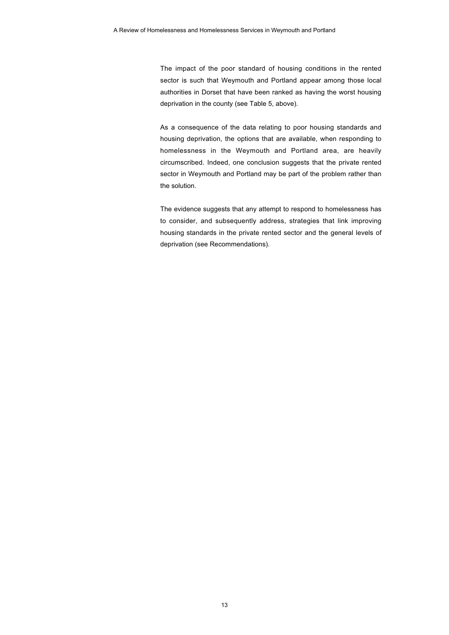The impact of the poor standard of housing conditions in the rented sector is such that Weymouth and Portland appear among those local authorities in Dorset that have been ranked as having the worst housing deprivation in the county (see Table 5, above).

As a consequence of the data relating to poor housing standards and housing deprivation, the options that are available, when responding to homelessness in the Weymouth and Portland area, are heavily circumscribed. Indeed, one conclusion suggests that the private rented sector in Weymouth and Portland may be part of the problem rather than the solution.

The evidence suggests that any attempt to respond to homelessness has to consider, and subsequently address, strategies that link improving housing standards in the private rented sector and the general levels of deprivation (see Recommendations).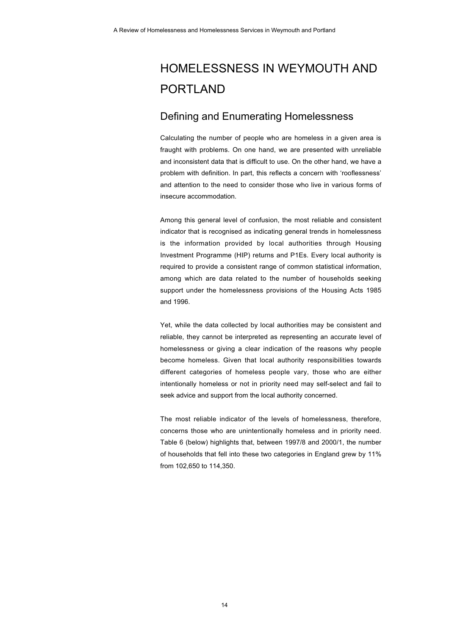## HOMELESSNESS IN WEYMOUTH AND PORTLAND

### Defining and Enumerating Homelessness

Calculating the number of people who are homeless in a given area is fraught with problems. On one hand, we are presented with unreliable and inconsistent data that is difficult to use. On the other hand, we have a problem with definition. In part, this reflects a concern with 'rooflessness' and attention to the need to consider those who live in various forms of insecure accommodation.

Among this general level of confusion, the most reliable and consistent indicator that is recognised as indicating general trends in homelessness is the information provided by local authorities through Housing Investment Programme (HIP) returns and P1Es. Every local authority is required to provide a consistent range of common statistical information, among which are data related to the number of households seeking support under the homelessness provisions of the Housing Acts 1985 and 1996.

Yet, while the data collected by local authorities may be consistent and reliable, they cannot be interpreted as representing an accurate level of homelessness or giving a clear indication of the reasons why people become homeless. Given that local authority responsibilities towards different categories of homeless people vary, those who are either intentionally homeless or not in priority need may self-select and fail to seek advice and support from the local authority concerned.

The most reliable indicator of the levels of homelessness, therefore, concerns those who are unintentionally homeless and in priority need. Table 6 (below) highlights that, between 1997/8 and 2000/1, the number of households that fell into these two categories in England grew by 11% from 102,650 to 114,350.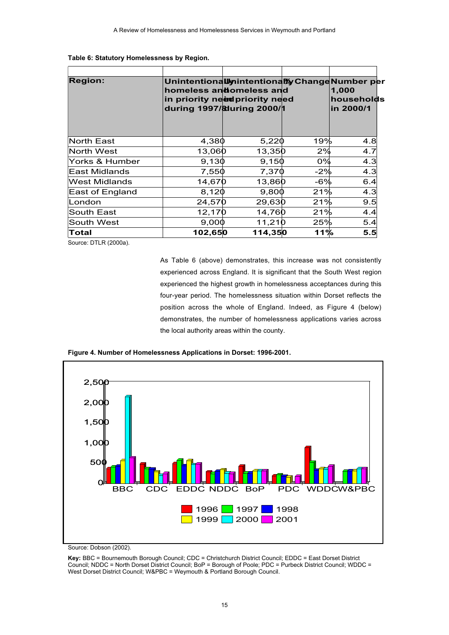| <b>Region:</b>    |         | Unintentionallynintentionally Change Number per<br>homeless andomeless and<br>in priority need priority need<br>during 1997/ů 2000/1 |       | 1,000<br>households<br>in 2000/1 |  |
|-------------------|---------|--------------------------------------------------------------------------------------------------------------------------------------|-------|----------------------------------|--|
|                   |         |                                                                                                                                      |       |                                  |  |
| <b>North East</b> | 4,380   | 5,220                                                                                                                                | 19%   | 4.8                              |  |
| North West        | 13,060  | 13,350                                                                                                                               | $2\%$ | 4.7                              |  |
| Yorks & Humber    | 9,130   | 9,150                                                                                                                                | $0\%$ | 4.3                              |  |
| East Midlands     | 7,550   | 7,370                                                                                                                                | -2%   | 4.3                              |  |
| West Midlands     | 14,670  | 13,860                                                                                                                               | $-6%$ | 6.4                              |  |
| East of England   | 8,120   | 9,800                                                                                                                                | 21%   | 4.3                              |  |
| London            | 24,570  | 29,630                                                                                                                               | 21%   | 9.5                              |  |
| South East        | 12,170  | 14,760                                                                                                                               | 21%   | 4.4                              |  |
| South West        | 9,000   | 11,210                                                                                                                               | 25%   | 5.4                              |  |
| Total             | 102,650 | 114,350                                                                                                                              | 11%   | 5.5                              |  |

|  | Table 6: Statutory Homelessness by Region. |  |
|--|--------------------------------------------|--|
|--|--------------------------------------------|--|

Source: DTLR (2000a).

As Table 6 (above) demonstrates, this increase was not consistently experienced across England. It is significant that the South West region experienced the highest growth in homelessness acceptances during this four-year period. The homelessness situation within Dorset reflects the position across the whole of England. Indeed, as Figure 4 (below) demonstrates, the number of homelessness applications varies across the local authority areas within the county.



**Figure 4. Number of Homelessness Applications in Dorset: 1996-2001.**

Source: Dobson (2002).

**Key:** BBC = Bournemouth Borough Council; CDC = Christchurch District Council; EDDC = East Dorset District Council; NDDC = North Dorset District Council; BoP = Borough of Poole; PDC = Purbeck District Council; WDDC = West Dorset District Council; W&PBC = Weymouth & Portland Borough Council.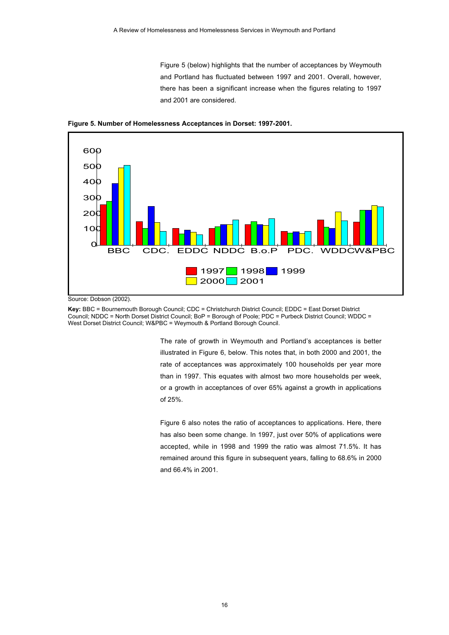Figure 5 (below) highlights that the number of acceptances by Weymouth and Portland has fluctuated between 1997 and 2001. Overall, however, there has been a significant increase when the figures relating to 1997 and 2001 are considered.



**Figure 5. Number of Homelessness Acceptances in Dorset: 1997-2001.**

Source: Dobson (2002).

**Key:** BBC = Bournemouth Borough Council; CDC = Christchurch District Council; EDDC = East Dorset District Council; NDDC = North Dorset District Council; BoP = Borough of Poole; PDC = Purbeck District Council; WDDC = West Dorset District Council; W&PBC = Weymouth & Portland Borough Council.

> The rate of growth in Weymouth and Portland's acceptances is better illustrated in Figure 6, below. This notes that, in both 2000 and 2001, the rate of acceptances was approximately 100 households per year more than in 1997. This equates with almost two more households per week, or a growth in acceptances of over 65% against a growth in applications of 25%.

> Figure 6 also notes the ratio of acceptances to applications. Here, there has also been some change. In 1997, just over 50% of applications were accepted, while in 1998 and 1999 the ratio was almost 71.5%. It has remained around this figure in subsequent years, falling to 68.6% in 2000 and 66.4% in 2001.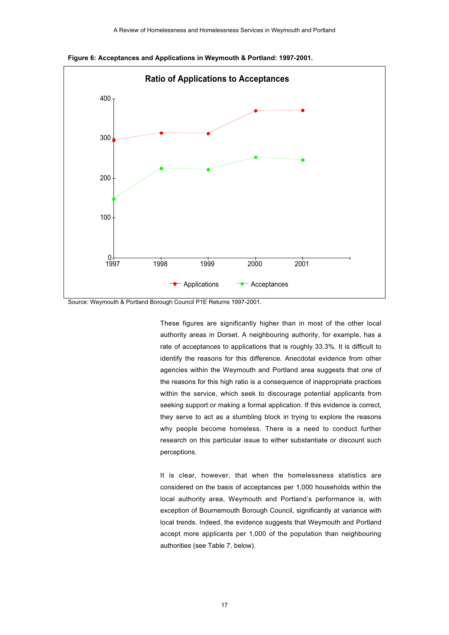

**Figure 6: Acceptances and Applications in Weymouth & Portland: 1997-2001.**

Source: Weymouth & Portland Borough Council P1E Returns 1997-2001.

These figures are significantly higher than in most of the other local authority areas in Dorset. A neighbouring authority, for example, has a rate of acceptances to applications that is roughly 33.3%. It is difficult to identify the reasons for this difference. Anecdotal evidence from other agencies within the Weymouth and Portland area suggests that one of the reasons for this high ratio is a consequence of inappropriate practices within the service, which seek to discourage potential applicants from seeking support or making a formal application. If this evidence is correct, they serve to act as a stumbling block in trying to explore the reasons why people become homeless. There is a need to conduct further research on this particular issue to either substantiate or discount such perceptions.

It is clear, however, that when the homelessness statistics are considered on the basis of acceptances per 1,000 households within the local authority area, Weymouth and Portland's performance is, with exception of Bournemouth Borough Council, significantly at variance with local trends. Indeed, the evidence suggests that Weymouth and Portland accept more applicants per 1,000 of the population than neighbouring authorities (see Table 7, below).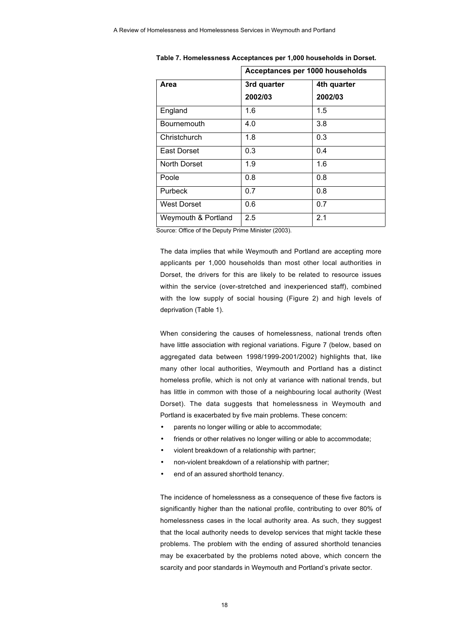|                     | Acceptances per 1000 households |             |
|---------------------|---------------------------------|-------------|
| Area                | 3rd quarter                     | 4th quarter |
|                     | 2002/03                         | 2002/03     |
| England             | 1.6                             | 1.5         |
| Bournemouth         | 4.0                             | 3.8         |
| Christchurch        | 1.8                             | 0.3         |
| East Dorset         | 0.3                             | 0.4         |
| North Dorset        | 1.9                             | 1.6         |
| Poole               | 0.8                             | 0.8         |
| Purbeck             | 0.7                             | 0.8         |
| <b>West Dorset</b>  | 0.6                             | 0.7         |
| Weymouth & Portland | 2.5                             | 2.1         |

**Table 7. Homelessness Acceptances per 1,000 households in Dorset.**

Source: Office of the Deputy Prime Minister (2003).

The data implies that while Weymouth and Portland are accepting more applicants per 1,000 households than most other local authorities in Dorset, the drivers for this are likely to be related to resource issues within the service (over-stretched and inexperienced staff), combined with the low supply of social housing (Figure 2) and high levels of deprivation (Table 1).

When considering the causes of homelessness, national trends often have little association with regional variations. Figure 7 (below, based on aggregated data between 1998/1999-2001/2002) highlights that, like many other local authorities, Weymouth and Portland has a distinct homeless profile, which is not only at variance with national trends, but has little in common with those of a neighbouring local authority (West Dorset). The data suggests that homelessness in Weymouth and Portland is exacerbated by five main problems. These concern:

- parents no longer willing or able to accommodate;
- friends or other relatives no longer willing or able to accommodate;
- violent breakdown of a relationship with partner;
- non-violent breakdown of a relationship with partner;
- end of an assured shorthold tenancy.

The incidence of homelessness as a consequence of these five factors is significantly higher than the national profile, contributing to over 80% of homelessness cases in the local authority area. As such, they suggest that the local authority needs to develop services that might tackle these problems. The problem with the ending of assured shorthold tenancies may be exacerbated by the problems noted above, which concern the scarcity and poor standards in Weymouth and Portland's private sector.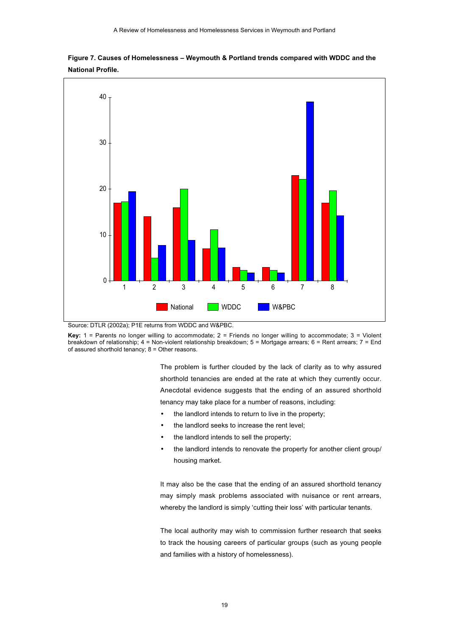

**Figure 7. Causes of Homelessness – Weymouth & Portland trends compared with WDDC and the National Profile.**



**Key:** 1 = Parents no longer willing to accommodate; 2 = Friends no longer willing to accommodate; 3 = Violent breakdown of relationship; 4 = Non-violent relationship breakdown; 5 = Mortgage arrears; 6 = Rent arrears; 7 = End of assured shorthold tenancy;  $8 =$  Other reasons.

> The problem is further clouded by the lack of clarity as to why assured shorthold tenancies are ended at the rate at which they currently occur. Anecdotal evidence suggests that the ending of an assured shorthold tenancy may take place for a number of reasons, including:

- the landlord intends to return to live in the property;
- the landlord seeks to increase the rent level;
- the landlord intends to sell the property;
- the landlord intends to renovate the property for another client group/ housing market.

It may also be the case that the ending of an assured shorthold tenancy may simply mask problems associated with nuisance or rent arrears, whereby the landlord is simply 'cutting their loss' with particular tenants.

The local authority may wish to commission further research that seeks to track the housing careers of particular groups (such as young people and families with a history of homelessness).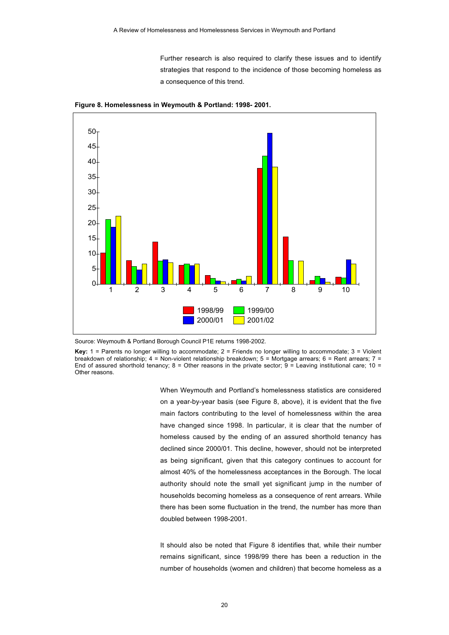Further research is also required to clarify these issues and to identify strategies that respond to the incidence of those becoming homeless as a consequence of this trend.



**Figure 8. Homelessness in Weymouth & Portland: 1998- 2001.**

Source: Weymouth & Portland Borough Council P1E returns 1998-2002.

**Key:** 1 = Parents no longer willing to accommodate; 2 = Friends no longer willing to accommodate; 3 = Violent breakdown of relationship; 4 = Non-violent relationship breakdown; 5 = Mortgage arrears; 6 = Rent arrears; 7 = End of assured shorthold tenancy;  $8 =$  Other reasons in the private sector;  $9 =$  Leaving institutional care;  $10 =$ Other reasons.

> When Weymouth and Portland's homelessness statistics are considered on a year-by-year basis (see Figure 8, above), it is evident that the five main factors contributing to the level of homelessness within the area have changed since 1998. In particular, it is clear that the number of homeless caused by the ending of an assured shorthold tenancy has declined since 2000/01. This decline, however, should not be interpreted as being significant, given that this category continues to account for almost 40% of the homelessness acceptances in the Borough. The local authority should note the small yet significant jump in the number of households becoming homeless as a consequence of rent arrears. While there has been some fluctuation in the trend, the number has more than doubled between 1998-2001.

> It should also be noted that Figure 8 identifies that, while their number remains significant, since 1998/99 there has been a reduction in the number of households (women and children) that become homeless as a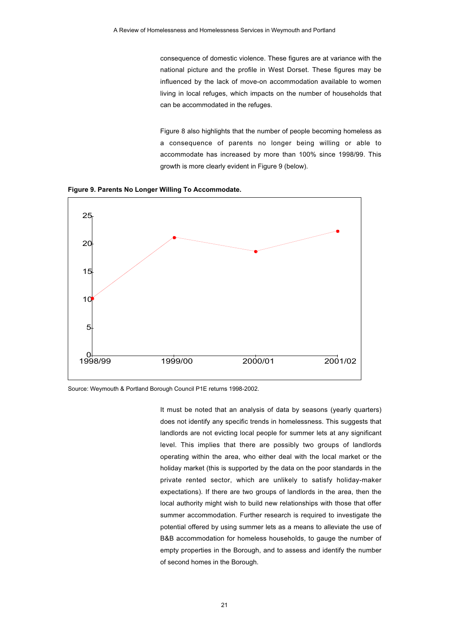consequence of domestic violence. These figures are at variance with the national picture and the profile in West Dorset. These figures may be influenced by the lack of move-on accommodation available to women living in local refuges, which impacts on the number of households that can be accommodated in the refuges.

Figure 8 also highlights that the number of people becoming homeless as a consequence of parents no longer being willing or able to accommodate has increased by more than 100% since 1998/99. This growth is more clearly evident in Figure 9 (below).

**Figure 9. Parents No Longer Willing To Accommodate.**



Source: Weymouth & Portland Borough Council P1E returns 1998-2002.

It must be noted that an analysis of data by seasons (yearly quarters) does not identify any specific trends in homelessness. This suggests that landlords are not evicting local people for summer lets at any significant level. This implies that there are possibly two groups of landlords operating within the area, who either deal with the local market or the holiday market (this is supported by the data on the poor standards in the private rented sector, which are unlikely to satisfy holiday-maker expectations). If there are two groups of landlords in the area, then the local authority might wish to build new relationships with those that offer summer accommodation. Further research is required to investigate the potential offered by using summer lets as a means to alleviate the use of B&B accommodation for homeless households, to gauge the number of empty properties in the Borough, and to assess and identify the number of second homes in the Borough.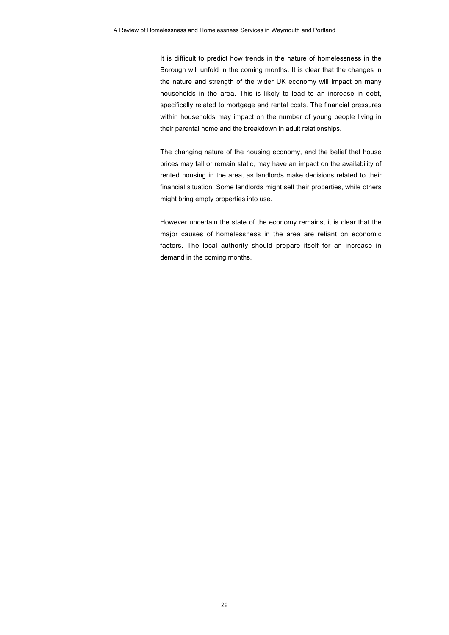It is difficult to predict how trends in the nature of homelessness in the Borough will unfold in the coming months. It is clear that the changes in the nature and strength of the wider UK economy will impact on many households in the area. This is likely to lead to an increase in debt, specifically related to mortgage and rental costs. The financial pressures within households may impact on the number of young people living in their parental home and the breakdown in adult relationships.

The changing nature of the housing economy, and the belief that house prices may fall or remain static, may have an impact on the availability of rented housing in the area, as landlords make decisions related to their financial situation. Some landlords might sell their properties, while others might bring empty properties into use.

However uncertain the state of the economy remains, it is clear that the major causes of homelessness in the area are reliant on economic factors. The local authority should prepare itself for an increase in demand in the coming months.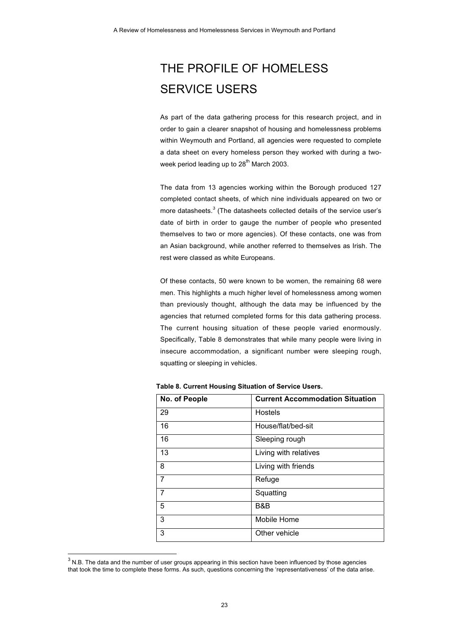## THE PROFILE OF HOMELESS SERVICE USERS

As part of the data gathering process for this research project, and in order to gain a clearer snapshot of housing and homelessness problems within Weymouth and Portland, all agencies were requested to complete a data sheet on every homeless person they worked with during a twoweek period leading up to  $28<sup>th</sup>$  March 2003.

The data from 13 agencies working within the Borough produced 127 completed contact sheets, of which nine individuals appeared on two or more datasheets.<sup>3</sup> (The datasheets collected details of the service user's date of birth in order to gauge the number of people who presented themselves to two or more agencies). Of these contacts, one was from an Asian background, while another referred to themselves as Irish. The rest were classed as white Europeans.

Of these contacts, 50 were known to be women, the remaining 68 were men. This highlights a much higher level of homelessness among women than previously thought, although the data may be influenced by the agencies that returned completed forms for this data gathering process. The current housing situation of these people varied enormously. Specifically, Table 8 demonstrates that while many people were living in insecure accommodation, a significant number were sleeping rough, squatting or sleeping in vehicles.

| No. of People  | <b>Current Accommodation Situation</b> |
|----------------|----------------------------------------|
| 29             | Hostels                                |
| 16             | House/flat/bed-sit                     |
| 16             | Sleeping rough                         |
| 13             | Living with relatives                  |
| 8              | Living with friends                    |
| $\overline{7}$ | Refuge                                 |
| $\overline{7}$ | Squatting                              |
| 5              | B&B                                    |
| 3              | Mobile Home                            |
| 3              | Other vehicle                          |

**Table 8. Current Housing Situation of Service Users.**

<sup>-&</sup>lt;br>3  $3$  N.B. The data and the number of user groups appearing in this section have been influenced by those agencies that took the time to complete these forms. As such, questions concerning the 'representativeness' of the data arise.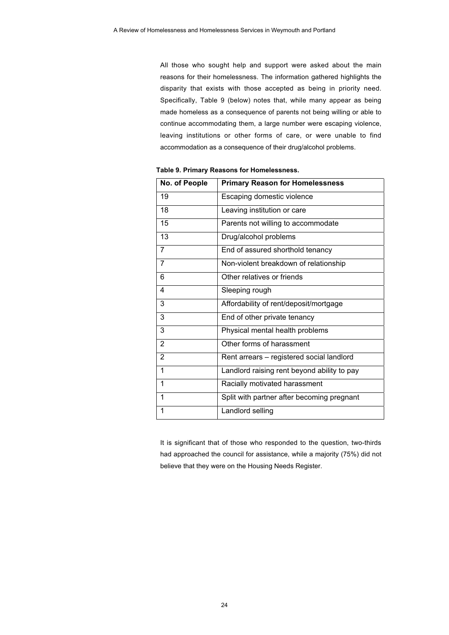All those who sought help and support were asked about the main reasons for their homelessness. The information gathered highlights the disparity that exists with those accepted as being in priority need. Specifically, Table 9 (below) notes that, while many appear as being made homeless as a consequence of parents not being willing or able to continue accommodating them, a large number were escaping violence, leaving institutions or other forms of care, or were unable to find accommodation as a consequence of their drug/alcohol problems.

| No. of People  | <b>Primary Reason for Homelessness</b>      |  |
|----------------|---------------------------------------------|--|
| 19             | Escaping domestic violence                  |  |
| 18             | Leaving institution or care                 |  |
| 15             | Parents not willing to accommodate          |  |
| 13             | Drug/alcohol problems                       |  |
| $\overline{7}$ | End of assured shorthold tenancy            |  |
| $\overline{7}$ | Non-violent breakdown of relationship       |  |
| 6              | Other relatives or friends                  |  |
| 4              | Sleeping rough                              |  |
| 3              | Affordability of rent/deposit/mortgage      |  |
| 3              | End of other private tenancy                |  |
| 3              | Physical mental health problems             |  |
| $\overline{2}$ | Other forms of harassment                   |  |
| 2              | Rent arrears - registered social landlord   |  |
| 1              | Landlord raising rent beyond ability to pay |  |
| 1              | Racially motivated harassment               |  |
| 1              | Split with partner after becoming pregnant  |  |
| 1              | Landlord selling                            |  |

**Table 9. Primary Reasons for Homelessness.**

It is significant that of those who responded to the question, two-thirds had approached the council for assistance, while a majority (75%) did not believe that they were on the Housing Needs Register.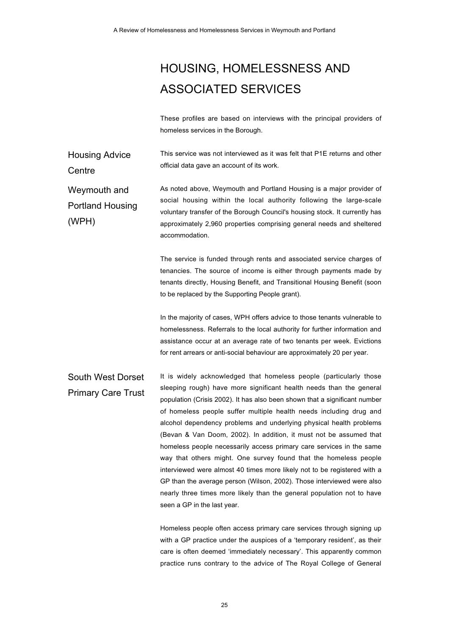# HOUSING, HOMELESSNESS AND ASSOCIATED SERVICES

These profiles are based on interviews with the principal providers of homeless services in the Borough.

Housing Advice **Centre** This service was not interviewed as it was felt that P1E returns and other official data gave an account of its work.

Weymouth and Portland Housing (WPH) As noted above, Weymouth and Portland Housing is a major provider of social housing within the local authority following the large-scale voluntary transfer of the Borough Council's housing stock. It currently has approximately 2,960 properties comprising general needs and sheltered accommodation.

> The service is funded through rents and associated service charges of tenancies. The source of income is either through payments made by tenants directly, Housing Benefit, and Transitional Housing Benefit (soon to be replaced by the Supporting People grant).

> In the majority of cases, WPH offers advice to those tenants vulnerable to homelessness. Referrals to the local authority for further information and assistance occur at an average rate of two tenants per week. Evictions for rent arrears or anti-social behaviour are approximately 20 per year.

South West Dorset Primary Care Trust It is widely acknowledged that homeless people (particularly those sleeping rough) have more significant health needs than the general population (Crisis 2002). It has also been shown that a significant number of homeless people suffer multiple health needs including drug and alcohol dependency problems and underlying physical health problems (Bevan & Van Doom, 2002). In addition, it must not be assumed that homeless people necessarily access primary care services in the same way that others might. One survey found that the homeless people interviewed were almost 40 times more likely not to be registered with a GP than the average person (Wilson, 2002). Those interviewed were also nearly three times more likely than the general population not to have seen a GP in the last year.

> Homeless people often access primary care services through signing up with a GP practice under the auspices of a 'temporary resident', as their care is often deemed 'immediately necessary'. This apparently common practice runs contrary to the advice of The Royal College of General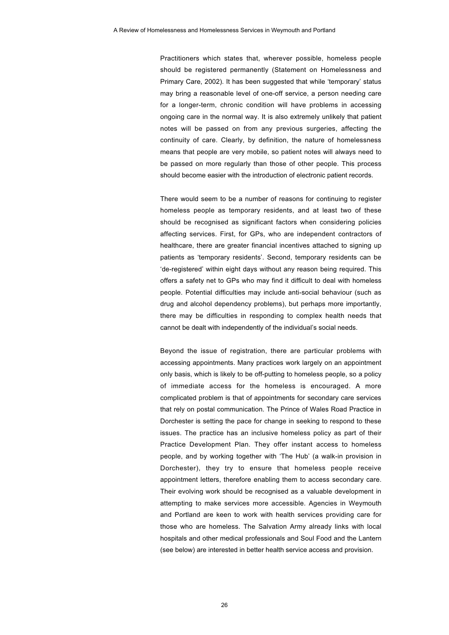Practitioners which states that, wherever possible, homeless people should be registered permanently (Statement on Homelessness and Primary Care, 2002). It has been suggested that while 'temporary' status may bring a reasonable level of one-off service, a person needing care for a longer-term, chronic condition will have problems in accessing ongoing care in the normal way. It is also extremely unlikely that patient notes will be passed on from any previous surgeries, affecting the continuity of care. Clearly, by definition, the nature of homelessness means that people are very mobile, so patient notes will always need to be passed on more regularly than those of other people. This process should become easier with the introduction of electronic patient records.

There would seem to be a number of reasons for continuing to register homeless people as temporary residents, and at least two of these should be recognised as significant factors when considering policies affecting services. First, for GPs, who are independent contractors of healthcare, there are greater financial incentives attached to signing up patients as 'temporary residents'. Second, temporary residents can be 'de-registered' within eight days without any reason being required. This offers a safety net to GPs who may find it difficult to deal with homeless people. Potential difficulties may include anti-social behaviour (such as drug and alcohol dependency problems), but perhaps more importantly, there may be difficulties in responding to complex health needs that cannot be dealt with independently of the individual's social needs.

Beyond the issue of registration, there are particular problems with accessing appointments. Many practices work largely on an appointment only basis, which is likely to be off-putting to homeless people, so a policy of immediate access for the homeless is encouraged. A more complicated problem is that of appointments for secondary care services that rely on postal communication. The Prince of Wales Road Practice in Dorchester is setting the pace for change in seeking to respond to these issues. The practice has an inclusive homeless policy as part of their Practice Development Plan. They offer instant access to homeless people, and by working together with 'The Hub' (a walk-in provision in Dorchester), they try to ensure that homeless people receive appointment letters, therefore enabling them to access secondary care. Their evolving work should be recognised as a valuable development in attempting to make services more accessible. Agencies in Weymouth and Portland are keen to work with health services providing care for those who are homeless. The Salvation Army already links with local hospitals and other medical professionals and Soul Food and the Lantern (see below) are interested in better health service access and provision.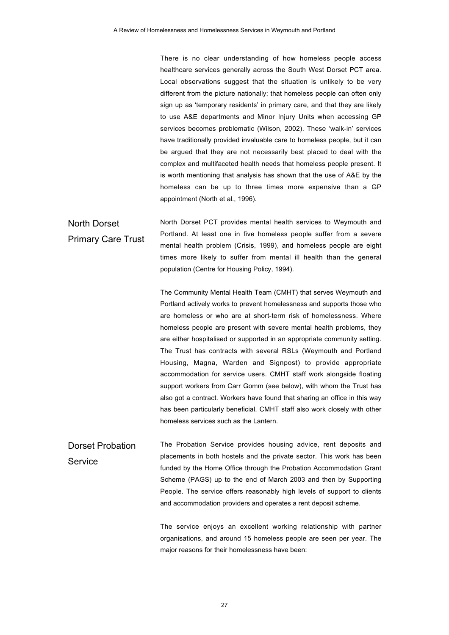There is no clear understanding of how homeless people access healthcare services generally across the South West Dorset PCT area. Local observations suggest that the situation is unlikely to be very different from the picture nationally; that homeless people can often only sign up as 'temporary residents' in primary care, and that they are likely to use A&E departments and Minor Injury Units when accessing GP services becomes problematic (Wilson, 2002). These 'walk-in' services have traditionally provided invaluable care to homeless people, but it can be argued that they are not necessarily best placed to deal with the complex and multifaceted health needs that homeless people present. It is worth mentioning that analysis has shown that the use of A&E by the homeless can be up to three times more expensive than a GP appointment (North et al., 1996).

North Dorset Primary Care Trust North Dorset PCT provides mental health services to Weymouth and Portland. At least one in five homeless people suffer from a severe mental health problem (Crisis, 1999), and homeless people are eight times more likely to suffer from mental ill health than the general population (Centre for Housing Policy, 1994).

> The Community Mental Health Team (CMHT) that serves Weymouth and Portland actively works to prevent homelessness and supports those who are homeless or who are at short-term risk of homelessness. Where homeless people are present with severe mental health problems, they are either hospitalised or supported in an appropriate community setting. The Trust has contracts with several RSLs (Weymouth and Portland Housing, Magna, Warden and Signpost) to provide appropriate accommodation for service users. CMHT staff work alongside floating support workers from Carr Gomm (see below), with whom the Trust has also got a contract. Workers have found that sharing an office in this way has been particularly beneficial. CMHT staff also work closely with other homeless services such as the Lantern.

Dorset Probation **Service** The Probation Service provides housing advice, rent deposits and placements in both hostels and the private sector. This work has been funded by the Home Office through the Probation Accommodation Grant Scheme (PAGS) up to the end of March 2003 and then by Supporting People. The service offers reasonably high levels of support to clients and accommodation providers and operates a rent deposit scheme.

> The service enjoys an excellent working relationship with partner organisations, and around 15 homeless people are seen per year. The major reasons for their homelessness have been: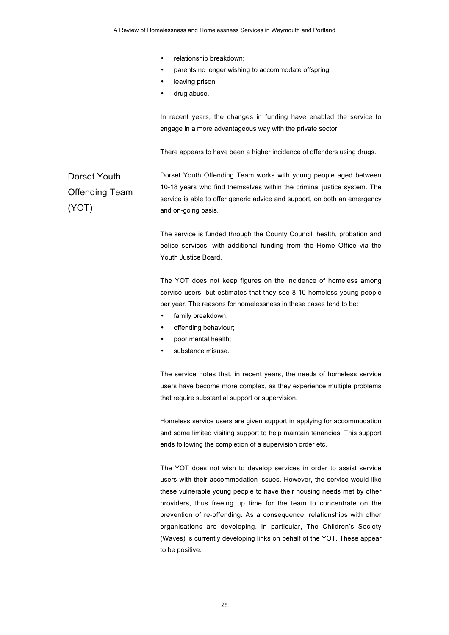- relationship breakdown;
- parents no longer wishing to accommodate offspring;
- leaving prison;
- drug abuse.

In recent years, the changes in funding have enabled the service to engage in a more advantageous way with the private sector.

There appears to have been a higher incidence of offenders using drugs.

Dorset Youth Offending Team (YOT) Dorset Youth Offending Team works with young people aged between 10-18 years who find themselves within the criminal justice system. The service is able to offer generic advice and support, on both an emergency and on-going basis.

> The service is funded through the County Council, health, probation and police services, with additional funding from the Home Office via the Youth Justice Board.

> The YOT does not keep figures on the incidence of homeless among service users, but estimates that they see 8-10 homeless young people per year. The reasons for homelessness in these cases tend to be:

- family breakdown;
- offending behaviour;
- poor mental health;
- substance misuse.

The service notes that, in recent years, the needs of homeless service users have become more complex, as they experience multiple problems that require substantial support or supervision.

Homeless service users are given support in applying for accommodation and some limited visiting support to help maintain tenancies. This support ends following the completion of a supervision order etc.

The YOT does not wish to develop services in order to assist service users with their accommodation issues. However, the service would like these vulnerable young people to have their housing needs met by other providers, thus freeing up time for the team to concentrate on the prevention of re-offending. As a consequence, relationships with other organisations are developing. In particular, The Children's Society (Waves) is currently developing links on behalf of the YOT. These appear to be positive.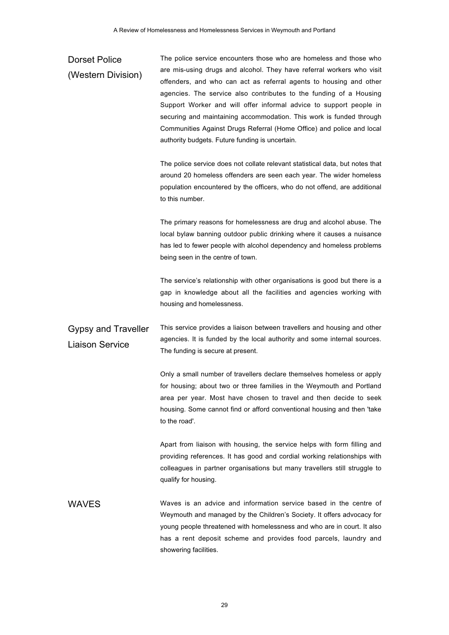## Dorset Police (Western Division) The police service encounters those who are homeless and those who are mis-using drugs and alcohol. They have referral workers who visit offenders, and who can act as referral agents to housing and other agencies. The service also contributes to the funding of a Housing Support Worker and will offer informal advice to support people in securing and maintaining accommodation. This work is funded through Communities Against Drugs Referral (Home Office) and police and local authority budgets. Future funding is uncertain. The police service does not collate relevant statistical data, but notes that around 20 homeless offenders are seen each year. The wider homeless population encountered by the officers, who do not offend, are additional to this number. The primary reasons for homelessness are drug and alcohol abuse. The local bylaw banning outdoor public drinking where it causes a nuisance has led to fewer people with alcohol dependency and homeless problems being seen in the centre of town. The service's relationship with other organisations is good but there is a gap in knowledge about all the facilities and agencies working with housing and homelessness. Gypsy and Traveller Liaison Service This service provides a liaison between travellers and housing and other agencies. It is funded by the local authority and some internal sources. The funding is secure at present. Only a small number of travellers declare themselves homeless or apply for housing; about two or three families in the Weymouth and Portland area per year. Most have chosen to travel and then decide to seek housing. Some cannot find or afford conventional housing and then 'take to the road'. Apart from liaison with housing, the service helps with form filling and providing references. It has good and cordial working relationships with colleagues in partner organisations but many travellers still struggle to qualify for housing. WAVES Waves is an advice and information service based in the centre of Weymouth and managed by the Children's Society. It offers advocacy for young people threatened with homelessness and who are in court. It also has a rent deposit scheme and provides food parcels, laundry and showering facilities.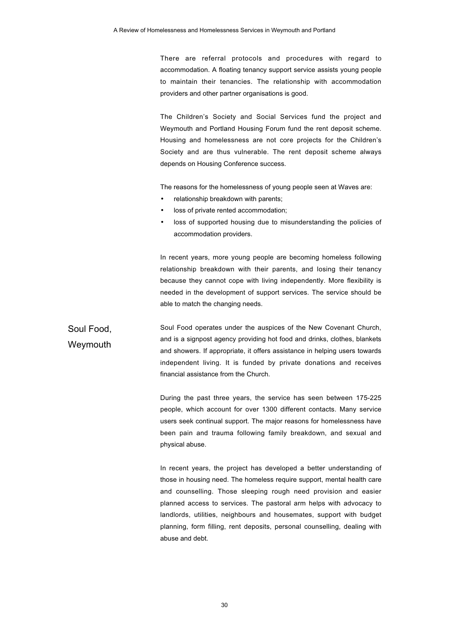There are referral protocols and procedures with regard to accommodation. A floating tenancy support service assists young people to maintain their tenancies. The relationship with accommodation providers and other partner organisations is good.

The Children's Society and Social Services fund the project and Weymouth and Portland Housing Forum fund the rent deposit scheme. Housing and homelessness are not core projects for the Children's Society and are thus vulnerable. The rent deposit scheme always depends on Housing Conference success.

The reasons for the homelessness of young people seen at Waves are:

- relationship breakdown with parents;
- loss of private rented accommodation;
- loss of supported housing due to misunderstanding the policies of accommodation providers.

In recent years, more young people are becoming homeless following relationship breakdown with their parents, and losing their tenancy because they cannot cope with living independently. More flexibility is needed in the development of support services. The service should be able to match the changing needs.

Soul Food, **Weymouth** Soul Food operates under the auspices of the New Covenant Church, and is a signpost agency providing hot food and drinks, clothes, blankets and showers. If appropriate, it offers assistance in helping users towards independent living. It is funded by private donations and receives financial assistance from the Church.

> During the past three years, the service has seen between 175-225 people, which account for over 1300 different contacts. Many service users seek continual support. The major reasons for homelessness have been pain and trauma following family breakdown, and sexual and physical abuse.

> In recent years, the project has developed a better understanding of those in housing need. The homeless require support, mental health care and counselling. Those sleeping rough need provision and easier planned access to services. The pastoral arm helps with advocacy to landlords, utilities, neighbours and housemates, support with budget planning, form filling, rent deposits, personal counselling, dealing with abuse and debt.

> > 30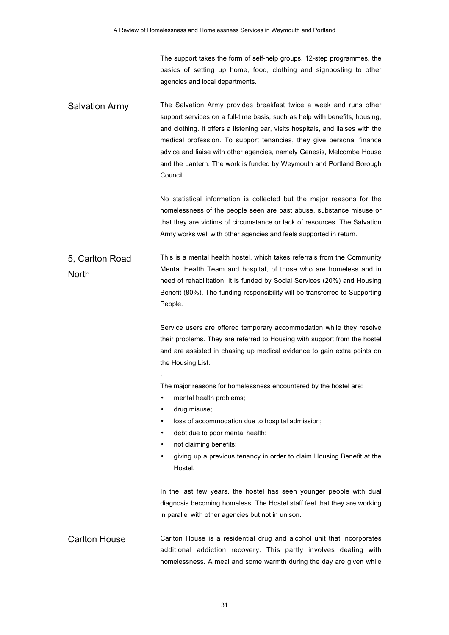The support takes the form of self-help groups, 12-step programmes, the basics of setting up home, food, clothing and signposting to other agencies and local departments.

Salvation Army The Salvation Army provides breakfast twice a week and runs other support services on a full-time basis, such as help with benefits, housing, and clothing. It offers a listening ear, visits hospitals, and liaises with the medical profession. To support tenancies, they give personal finance advice and liaise with other agencies, namely Genesis, Melcombe House and the Lantern. The work is funded by Weymouth and Portland Borough Council.

> No statistical information is collected but the major reasons for the homelessness of the people seen are past abuse, substance misuse or that they are victims of circumstance or lack of resources. The Salvation Army works well with other agencies and feels supported in return.

#### 5, Carlton Road North This is a mental health hostel, which takes referrals from the Community Mental Health Team and hospital, of those who are homeless and in need of rehabilitation. It is funded by Social Services (20%) and Housing Benefit (80%). The funding responsibility will be transferred to Supporting People.

Service users are offered temporary accommodation while they resolve their problems. They are referred to Housing with support from the hostel and are assisted in chasing up medical evidence to gain extra points on the Housing List.

The major reasons for homelessness encountered by the hostel are:

- mental health problems;
- drug misuse;

.

- loss of accommodation due to hospital admission;
- debt due to poor mental health;
- not claiming benefits:
- giving up a previous tenancy in order to claim Housing Benefit at the Hostel.

In the last few years, the hostel has seen younger people with dual diagnosis becoming homeless. The Hostel staff feel that they are working in parallel with other agencies but not in unison.

Carlton House Carlton House is a residential drug and alcohol unit that incorporates additional addiction recovery. This partly involves dealing with homelessness. A meal and some warmth during the day are given while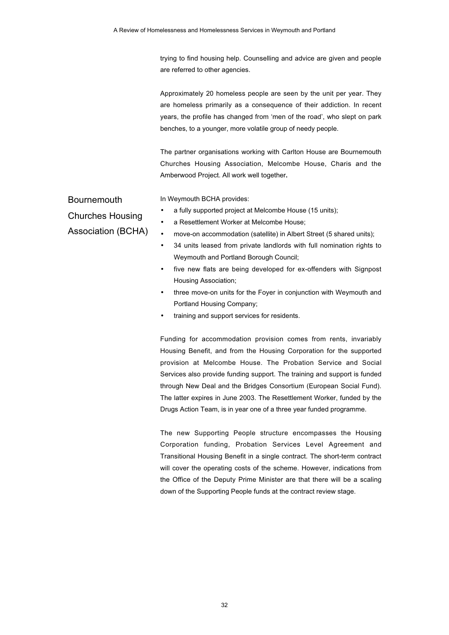trying to find housing help. Counselling and advice are given and people are referred to other agencies.

Approximately 20 homeless people are seen by the unit per year. They are homeless primarily as a consequence of their addiction. In recent years, the profile has changed from 'men of the road', who slept on park benches, to a younger, more volatile group of needy people.

The partner organisations working with Carlton House are Bournemouth Churches Housing Association, Melcombe House, Charis and the Amberwood Project. All work well together**.**

Bournemouth

In Weymouth BCHA provides:

Churches Housing

Association (BCHA)

- a fully supported project at Melcombe House (15 units);
- a Resettlement Worker at Melcombe House;
- move-on accommodation (satellite) in Albert Street (5 shared units);
- 34 units leased from private landlords with full nomination rights to Weymouth and Portland Borough Council;
- five new flats are being developed for ex-offenders with Signpost Housing Association;
- three move-on units for the Foyer in conjunction with Weymouth and Portland Housing Company;
- training and support services for residents.

Funding for accommodation provision comes from rents, invariably Housing Benefit, and from the Housing Corporation for the supported provision at Melcombe House. The Probation Service and Social Services also provide funding support. The training and support is funded through New Deal and the Bridges Consortium (European Social Fund). The latter expires in June 2003. The Resettlement Worker, funded by the Drugs Action Team, is in year one of a three year funded programme.

The new Supporting People structure encompasses the Housing Corporation funding, Probation Services Level Agreement and Transitional Housing Benefit in a single contract. The short-term contract will cover the operating costs of the scheme. However, indications from the Office of the Deputy Prime Minister are that there will be a scaling down of the Supporting People funds at the contract review stage.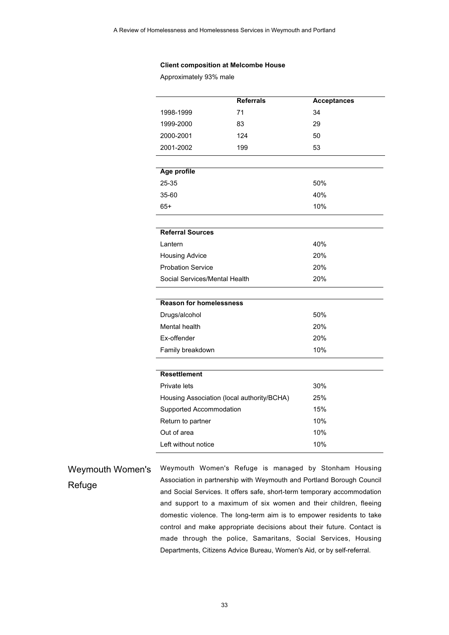#### **Client composition at Melcombe House**

Approximately 93% male

|                                            | <b>Referrals</b> | <b>Acceptances</b> |
|--------------------------------------------|------------------|--------------------|
| 1998-1999                                  | 71               | 34                 |
| 1999-2000                                  | 83               | 29                 |
| 2000-2001                                  | 124              | 50                 |
| 2001-2002                                  | 199              | 53                 |
|                                            |                  |                    |
| Age profile                                |                  |                    |
| 25-35                                      |                  | 50%                |
| 35-60                                      |                  | 40%                |
| $65+$                                      |                  | 10%                |
|                                            |                  |                    |
| <b>Referral Sources</b>                    |                  |                    |
| Lantern                                    |                  | 40%                |
| <b>Housing Advice</b>                      |                  | 20%                |
| <b>Probation Service</b>                   |                  | 20%                |
| Social Services/Mental Health              |                  | 20%                |
| <b>Reason for homelessness</b>             |                  |                    |
|                                            |                  | 50%                |
| Drugs/alcohol                              |                  |                    |
| Mental health                              |                  | 20%                |
| Ex-offender                                |                  | 20%                |
| Family breakdown                           |                  | 10%                |
| <b>Resettlement</b>                        |                  |                    |
| Private lets                               |                  | 30%                |
| Housing Association (local authority/BCHA) |                  | 25%                |
| Supported Accommodation                    |                  | 15%                |
| Return to partner                          |                  | 10%                |
| Out of area                                |                  | 10%                |
| Left without notice                        |                  | 10%                |

Weymouth Women's Refuge Weymouth Women's Refuge is managed by Stonham Housing Association in partnership with Weymouth and Portland Borough Council and Social Services. It offers safe, short-term temporary accommodation and support to a maximum of six women and their children, fleeing domestic violence. The long-term aim is to empower residents to take control and make appropriate decisions about their future. Contact is made through the police, Samaritans, Social Services, Housing Departments, Citizens Advice Bureau, Women's Aid, or by self-referral.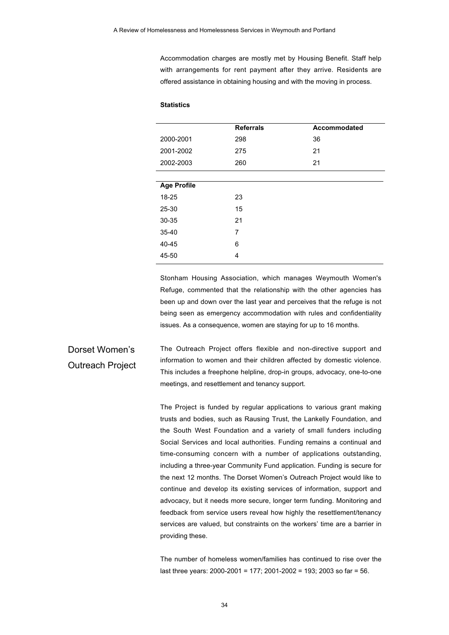Accommodation charges are mostly met by Housing Benefit. Staff help with arrangements for rent payment after they arrive. Residents are offered assistance in obtaining housing and with the moving in process.

#### **Statistics**

|                    | <b>Referrals</b> | Accommodated |
|--------------------|------------------|--------------|
| 2000-2001          | 298              | 36           |
| 2001-2002          | 275              | 21           |
| 2002-2003          | 260              | 21           |
|                    |                  |              |
| <b>Age Profile</b> |                  |              |
| 18-25              | 23               |              |
| 25-30              | 15               |              |
| 30-35              | 21               |              |
| $35 - 40$          | 7                |              |
| 40-45              | 6                |              |
| 45-50              | 4                |              |
|                    |                  |              |

Stonham Housing Association, which manages Weymouth Women's Refuge, commented that the relationship with the other agencies has been up and down over the last year and perceives that the refuge is not being seen as emergency accommodation with rules and confidentiality issues. As a consequence, women are staying for up to 16 months.

Dorset Women's Outreach Project The Outreach Project offers flexible and non-directive support and information to women and their children affected by domestic violence. This includes a freephone helpline, drop-in groups, advocacy, one-to-one meetings, and resettlement and tenancy support.

> The Project is funded by regular applications to various grant making trusts and bodies, such as Rausing Trust, the Lankelly Foundation, and the South West Foundation and a variety of small funders including Social Services and local authorities. Funding remains a continual and time-consuming concern with a number of applications outstanding, including a three-year Community Fund application. Funding is secure for the next 12 months. The Dorset Women's Outreach Project would like to continue and develop its existing services of information, support and advocacy, but it needs more secure, longer term funding. Monitoring and feedback from service users reveal how highly the resettlement/tenancy services are valued, but constraints on the workers' time are a barrier in providing these.

> The number of homeless women/families has continued to rise over the last three years: 2000-2001 = 177; 2001-2002 = 193; 2003 so far = 56.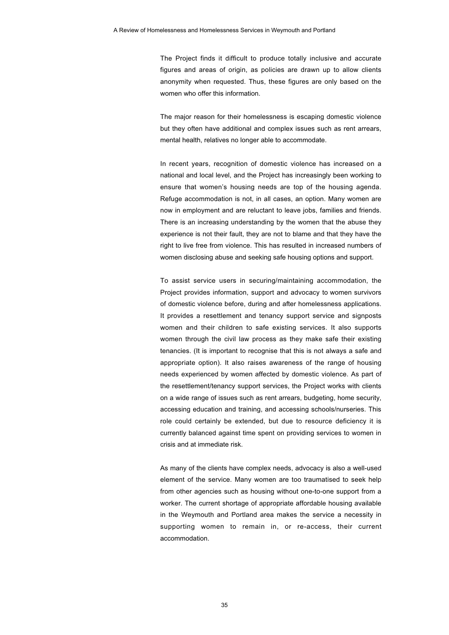The Project finds it difficult to produce totally inclusive and accurate figures and areas of origin, as policies are drawn up to allow clients anonymity when requested. Thus, these figures are only based on the women who offer this information.

The major reason for their homelessness is escaping domestic violence but they often have additional and complex issues such as rent arrears, mental health, relatives no longer able to accommodate.

In recent years, recognition of domestic violence has increased on a national and local level, and the Project has increasingly been working to ensure that women's housing needs are top of the housing agenda. Refuge accommodation is not, in all cases, an option. Many women are now in employment and are reluctant to leave jobs, families and friends. There is an increasing understanding by the women that the abuse they experience is not their fault, they are not to blame and that they have the right to live free from violence. This has resulted in increased numbers of women disclosing abuse and seeking safe housing options and support.

To assist service users in securing/maintaining accommodation, the Project provides information, support and advocacy to women survivors of domestic violence before, during and after homelessness applications. It provides a resettlement and tenancy support service and signposts women and their children to safe existing services. It also supports women through the civil law process as they make safe their existing tenancies. (It is important to recognise that this is not always a safe and appropriate option). It also raises awareness of the range of housing needs experienced by women affected by domestic violence. As part of the resettlement/tenancy support services, the Project works with clients on a wide range of issues such as rent arrears, budgeting, home security, accessing education and training, and accessing schools/nurseries. This role could certainly be extended, but due to resource deficiency it is currently balanced against time spent on providing services to women in crisis and at immediate risk.

As many of the clients have complex needs, advocacy is also a well-used element of the service. Many women are too traumatised to seek help from other agencies such as housing without one-to-one support from a worker. The current shortage of appropriate affordable housing available in the Weymouth and Portland area makes the service a necessity in supporting women to remain in, or re-access, their current accommodation.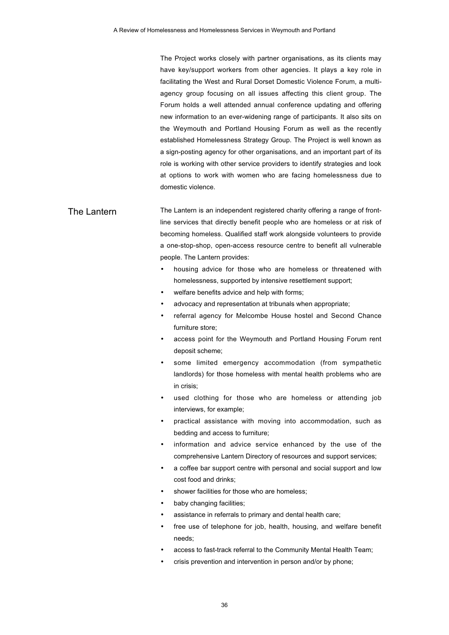The Project works closely with partner organisations, as its clients may have key/support workers from other agencies. It plays a key role in facilitating the West and Rural Dorset Domestic Violence Forum, a multiagency group focusing on all issues affecting this client group. The Forum holds a well attended annual conference updating and offering new information to an ever-widening range of participants. It also sits on the Weymouth and Portland Housing Forum as well as the recently established Homelessness Strategy Group. The Project is well known as a sign-posting agency for other organisations, and an important part of its role is working with other service providers to identify strategies and look at options to work with women who are facing homelessness due to domestic violence.

### The I antern The Lantern is an independent registered charity offering a range of frontline services that directly benefit people who are homeless or at risk of becoming homeless. Qualified staff work alongside volunteers to provide a one-stop-shop, open-access resource centre to benefit all vulnerable people. The Lantern provides:

- housing advice for those who are homeless or threatened with homelessness, supported by intensive resettlement support;
- welfare benefits advice and help with forms;
- advocacy and representation at tribunals when appropriate;
- referral agency for Melcombe House hostel and Second Chance furniture store;
- access point for the Weymouth and Portland Housing Forum rent deposit scheme;
- some limited emergency accommodation (from sympathetic landlords) for those homeless with mental health problems who are in crisis;
- used clothing for those who are homeless or attending job interviews, for example;
- practical assistance with moving into accommodation, such as bedding and access to furniture;
- information and advice service enhanced by the use of the comprehensive Lantern Directory of resources and support services;
- a coffee bar support centre with personal and social support and low cost food and drinks;
- shower facilities for those who are homeless:
- baby changing facilities;
- assistance in referrals to primary and dental health care;
- free use of telephone for job, health, housing, and welfare benefit needs;
- access to fast-track referral to the Community Mental Health Team;
- crisis prevention and intervention in person and/or by phone;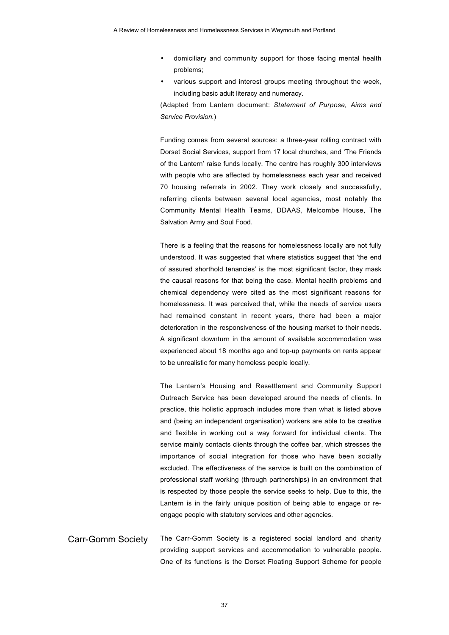- domiciliary and community support for those facing mental health problems;
- various support and interest groups meeting throughout the week, including basic adult literacy and numeracy.

(Adapted from Lantern document: *Statement of Purpose, Aims and Service Provision.*)

Funding comes from several sources: a three-year rolling contract with Dorset Social Services, support from 17 local churches, and 'The Friends of the Lantern' raise funds locally. The centre has roughly 300 interviews with people who are affected by homelessness each year and received 70 housing referrals in 2002. They work closely and successfully, referring clients between several local agencies, most notably the Community Mental Health Teams, DDAAS, Melcombe House, The Salvation Army and Soul Food.

There is a feeling that the reasons for homelessness locally are not fully understood. It was suggested that where statistics suggest that 'the end of assured shorthold tenancies' is the most significant factor, they mask the causal reasons for that being the case. Mental health problems and chemical dependency were cited as the most significant reasons for homelessness. It was perceived that, while the needs of service users had remained constant in recent years, there had been a major deterioration in the responsiveness of the housing market to their needs. A significant downturn in the amount of available accommodation was experienced about 18 months ago and top-up payments on rents appear to be unrealistic for many homeless people locally.

The Lantern's Housing and Resettlement and Community Support Outreach Service has been developed around the needs of clients. In practice, this holistic approach includes more than what is listed above and (being an independent organisation) workers are able to be creative and flexible in working out a way forward for individual clients. The service mainly contacts clients through the coffee bar, which stresses the importance of social integration for those who have been socially excluded. The effectiveness of the service is built on the combination of professional staff working (through partnerships) in an environment that is respected by those people the service seeks to help. Due to this, the Lantern is in the fairly unique position of being able to engage or reengage people with statutory services and other agencies.

Carr-Gomm Society The Carr-Gomm Society is a registered social landlord and charity providing support services and accommodation to vulnerable people. One of its functions is the Dorset Floating Support Scheme for people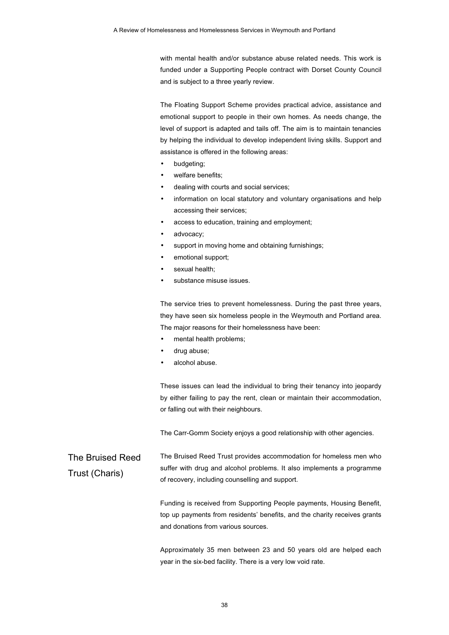with mental health and/or substance abuse related needs. This work is funded under a Supporting People contract with Dorset County Council and is subject to a three yearly review.

The Floating Support Scheme provides practical advice, assistance and emotional support to people in their own homes. As needs change, the level of support is adapted and tails off. The aim is to maintain tenancies by helping the individual to develop independent living skills. Support and assistance is offered in the following areas:

- budgeting;
- welfare benefits;
- dealing with courts and social services;
- information on local statutory and voluntary organisations and help accessing their services;
- access to education, training and employment;
- advocacy;
- support in moving home and obtaining furnishings;
- emotional support;
- sexual health;
- substance misuse issues.

The service tries to prevent homelessness. During the past three years, they have seen six homeless people in the Weymouth and Portland area. The major reasons for their homelessness have been:

- mental health problems;
- drug abuse;
- alcohol abuse.

These issues can lead the individual to bring their tenancy into jeopardy by either failing to pay the rent, clean or maintain their accommodation, or falling out with their neighbours.

The Carr-Gomm Society enjoys a good relationship with other agencies.

The Bruised Reed Trust (Charis) The Bruised Reed Trust provides accommodation for homeless men who suffer with drug and alcohol problems. It also implements a programme of recovery, including counselling and support.

> Funding is received from Supporting People payments, Housing Benefit, top up payments from residents' benefits, and the charity receives grants and donations from various sources.

> Approximately 35 men between 23 and 50 years old are helped each year in the six-bed facility. There is a very low void rate.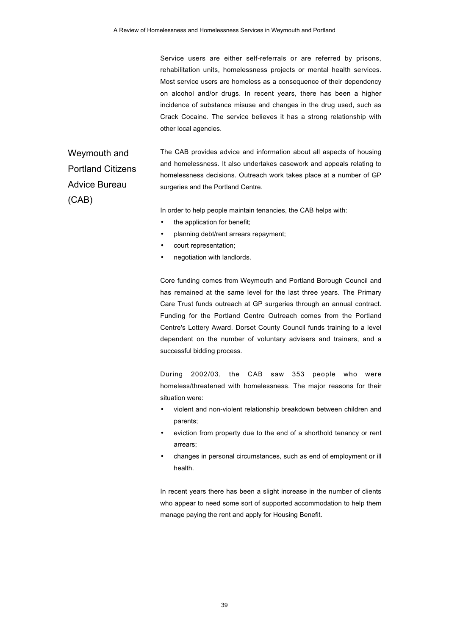Service users are either self-referrals or are referred by prisons, rehabilitation units, homelessness projects or mental health services. Most service users are homeless as a consequence of their dependency on alcohol and/or drugs. In recent years, there has been a higher incidence of substance misuse and changes in the drug used, such as Crack Cocaine. The service believes it has a strong relationship with other local agencies.

Weymouth and Portland Citizens Advice Bureau (CAB)

The CAB provides advice and information about all aspects of housing and homelessness. It also undertakes casework and appeals relating to homelessness decisions. Outreach work takes place at a number of GP surgeries and the Portland Centre.

In order to help people maintain tenancies, the CAB helps with:

- the application for benefit;
- planning debt/rent arrears repayment;
- court representation;
- negotiation with landlords.

Core funding comes from Weymouth and Portland Borough Council and has remained at the same level for the last three years. The Primary Care Trust funds outreach at GP surgeries through an annual contract. Funding for the Portland Centre Outreach comes from the Portland Centre's Lottery Award. Dorset County Council funds training to a level dependent on the number of voluntary advisers and trainers, and a successful bidding process.

During 2002/03, the CAB saw 353 people who were homeless/threatened with homelessness. The major reasons for their situation were:

- violent and non-violent relationship breakdown between children and parents;
- eviction from property due to the end of a shorthold tenancy or rent arrears;
- changes in personal circumstances, such as end of employment or ill health.

In recent years there has been a slight increase in the number of clients who appear to need some sort of supported accommodation to help them manage paying the rent and apply for Housing Benefit.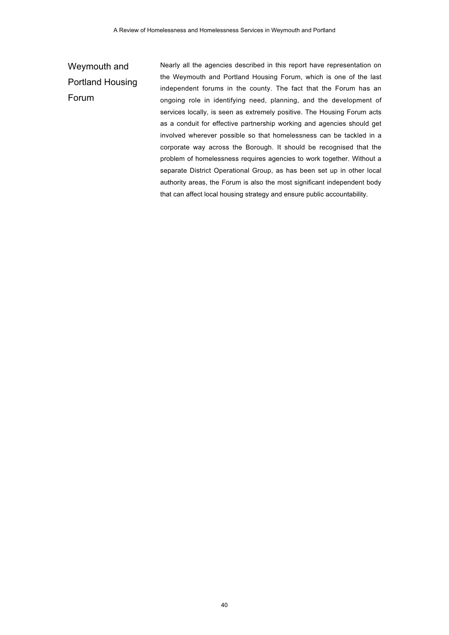## Weymouth and Portland Housing Forum

Nearly all the agencies described in this report have representation on the Weymouth and Portland Housing Forum, which is one of the last independent forums in the county. The fact that the Forum has an ongoing role in identifying need, planning, and the development of services locally, is seen as extremely positive. The Housing Forum acts as a conduit for effective partnership working and agencies should get involved wherever possible so that homelessness can be tackled in a corporate way across the Borough. It should be recognised that the problem of homelessness requires agencies to work together. Without a separate District Operational Group, as has been set up in other local authority areas, the Forum is also the most significant independent body that can affect local housing strategy and ensure public accountability.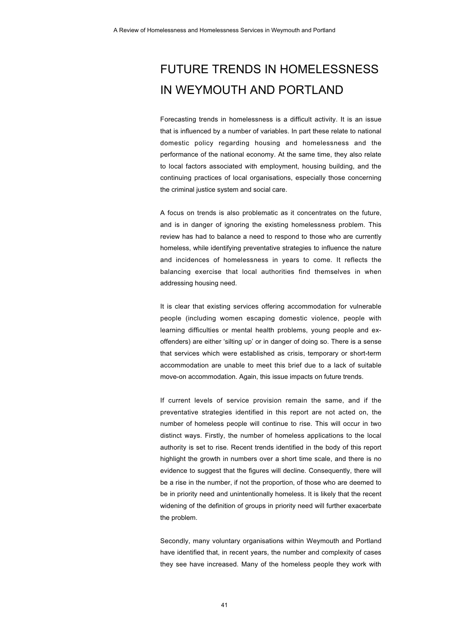## FUTURE TRENDS IN HOMELESSNESS IN WEYMOUTH AND PORTLAND

Forecasting trends in homelessness is a difficult activity. It is an issue that is influenced by a number of variables. In part these relate to national domestic policy regarding housing and homelessness and the performance of the national economy. At the same time, they also relate to local factors associated with employment, housing building, and the continuing practices of local organisations, especially those concerning the criminal justice system and social care.

A focus on trends is also problematic as it concentrates on the future, and is in danger of ignoring the existing homelessness problem. This review has had to balance a need to respond to those who are currently homeless, while identifying preventative strategies to influence the nature and incidences of homelessness in years to come. It reflects the balancing exercise that local authorities find themselves in when addressing housing need.

It is clear that existing services offering accommodation for vulnerable people (including women escaping domestic violence, people with learning difficulties or mental health problems, young people and exoffenders) are either 'silting up' or in danger of doing so. There is a sense that services which were established as crisis, temporary or short-term accommodation are unable to meet this brief due to a lack of suitable move-on accommodation. Again, this issue impacts on future trends.

If current levels of service provision remain the same, and if the preventative strategies identified in this report are not acted on, the number of homeless people will continue to rise. This will occur in two distinct ways. Firstly, the number of homeless applications to the local authority is set to rise. Recent trends identified in the body of this report highlight the growth in numbers over a short time scale, and there is no evidence to suggest that the figures will decline. Consequently, there will be a rise in the number, if not the proportion, of those who are deemed to be in priority need and unintentionally homeless. It is likely that the recent widening of the definition of groups in priority need will further exacerbate the problem.

Secondly, many voluntary organisations within Weymouth and Portland have identified that, in recent years, the number and complexity of cases they see have increased. Many of the homeless people they work with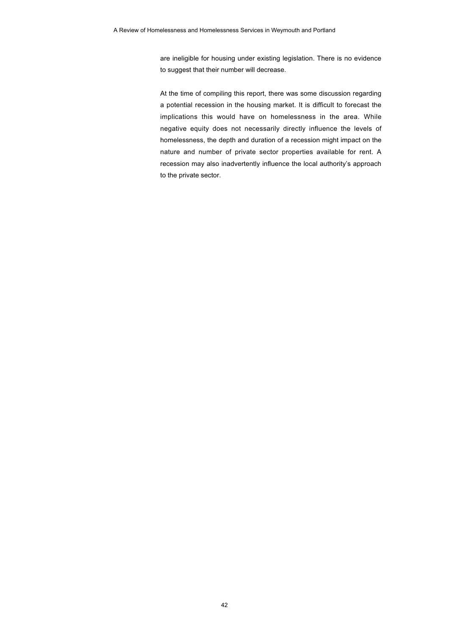are ineligible for housing under existing legislation. There is no evidence to suggest that their number will decrease.

At the time of compiling this report, there was some discussion regarding a potential recession in the housing market. It is difficult to forecast the implications this would have on homelessness in the area. While negative equity does not necessarily directly influence the levels of homelessness, the depth and duration of a recession might impact on the nature and number of private sector properties available for rent. A recession may also inadvertently influence the local authority's approach to the private sector.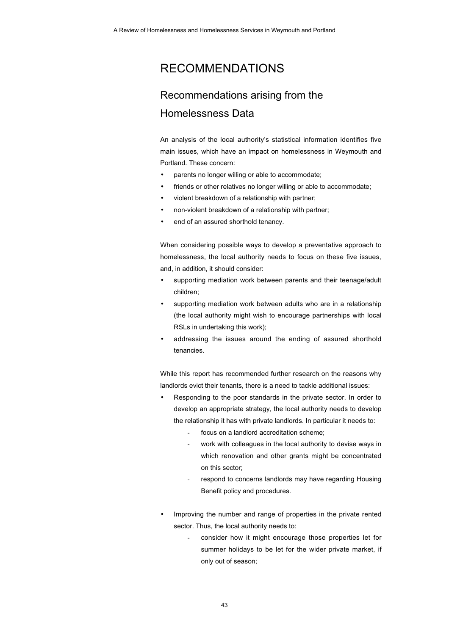## RECOMMENDATIONS

## Recommendations arising from the Homelessness Data

An analysis of the local authority's statistical information identifies five main issues, which have an impact on homelessness in Weymouth and Portland. These concern:

- parents no longer willing or able to accommodate;
- friends or other relatives no longer willing or able to accommodate;
- violent breakdown of a relationship with partner;
- non-violent breakdown of a relationship with partner;
- end of an assured shorthold tenancy.

When considering possible ways to develop a preventative approach to homelessness, the local authority needs to focus on these five issues, and, in addition, it should consider:

- supporting mediation work between parents and their teenage/adult children;
- supporting mediation work between adults who are in a relationship (the local authority might wish to encourage partnerships with local RSLs in undertaking this work);
- addressing the issues around the ending of assured shorthold tenancies.

While this report has recommended further research on the reasons why landlords evict their tenants, there is a need to tackle additional issues:

- Responding to the poor standards in the private sector. In order to develop an appropriate strategy, the local authority needs to develop the relationship it has with private landlords. In particular it needs to:
	- focus on a landlord accreditation scheme;
	- work with colleagues in the local authority to devise ways in which renovation and other grants might be concentrated on this sector;
	- respond to concerns landlords may have regarding Housing Benefit policy and procedures.
- Improving the number and range of properties in the private rented sector. Thus, the local authority needs to:
	- consider how it might encourage those properties let for summer holidays to be let for the wider private market, if only out of season;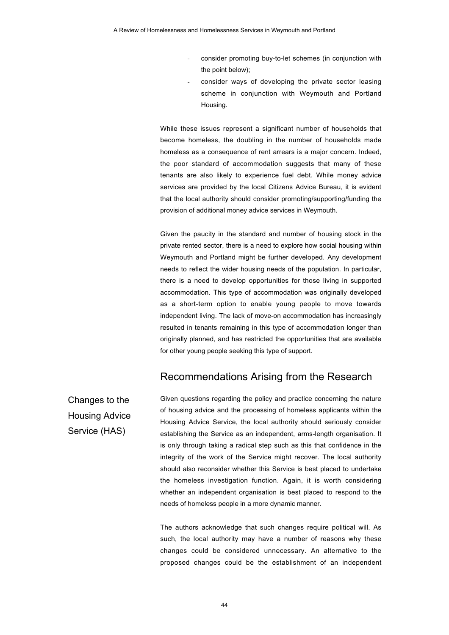- consider promoting buy-to-let schemes (in conjunction with the point below);
- consider ways of developing the private sector leasing scheme in conjunction with Weymouth and Portland Housing.

While these issues represent a significant number of households that become homeless, the doubling in the number of households made homeless as a consequence of rent arrears is a major concern. Indeed, the poor standard of accommodation suggests that many of these tenants are also likely to experience fuel debt. While money advice services are provided by the local Citizens Advice Bureau, it is evident that the local authority should consider promoting/supporting/funding the provision of additional money advice services in Weymouth.

Given the paucity in the standard and number of housing stock in the private rented sector, there is a need to explore how social housing within Weymouth and Portland might be further developed. Any development needs to reflect the wider housing needs of the population. In particular, there is a need to develop opportunities for those living in supported accommodation. This type of accommodation was originally developed as a short-term option to enable young people to move towards independent living. The lack of move-on accommodation has increasingly resulted in tenants remaining in this type of accommodation longer than originally planned, and has restricted the opportunities that are available for other young people seeking this type of support.

### Recommendations Arising from the Research

Changes to the Housing Advice Service (HAS)

Given questions regarding the policy and practice concerning the nature of housing advice and the processing of homeless applicants within the Housing Advice Service, the local authority should seriously consider establishing the Service as an independent, arms-length organisation. It is only through taking a radical step such as this that confidence in the integrity of the work of the Service might recover. The local authority should also reconsider whether this Service is best placed to undertake the homeless investigation function. Again, it is worth considering whether an independent organisation is best placed to respond to the needs of homeless people in a more dynamic manner.

The authors acknowledge that such changes require political will. As such, the local authority may have a number of reasons why these changes could be considered unnecessary. An alternative to the proposed changes could be the establishment of an independent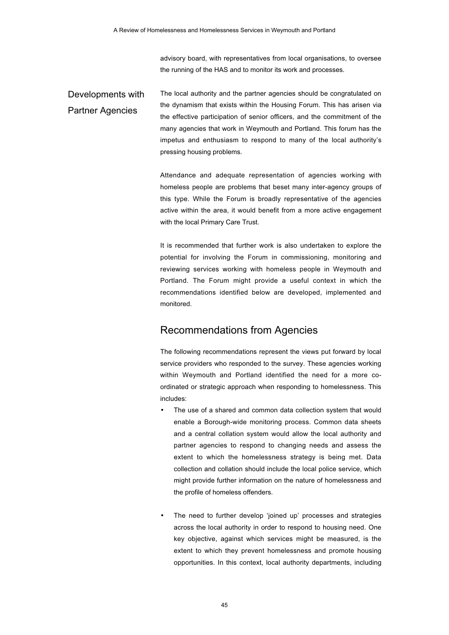advisory board, with representatives from local organisations, to oversee the running of the HAS and to monitor its work and processes.

Developments with Partner Agencies The local authority and the partner agencies should be congratulated on the dynamism that exists within the Housing Forum. This has arisen via the effective participation of senior officers, and the commitment of the many agencies that work in Weymouth and Portland. This forum has the impetus and enthusiasm to respond to many of the local authority's pressing housing problems.

> Attendance and adequate representation of agencies working with homeless people are problems that beset many inter-agency groups of this type. While the Forum is broadly representative of the agencies active within the area, it would benefit from a more active engagement with the local Primary Care Trust.

> It is recommended that further work is also undertaken to explore the potential for involving the Forum in commissioning, monitoring and reviewing services working with homeless people in Weymouth and Portland. The Forum might provide a useful context in which the recommendations identified below are developed, implemented and monitored.

### Recommendations from Agencies

The following recommendations represent the views put forward by local service providers who responded to the survey. These agencies working within Weymouth and Portland identified the need for a more coordinated or strategic approach when responding to homelessness. This includes:

- The use of a shared and common data collection system that would enable a Borough-wide monitoring process. Common data sheets and a central collation system would allow the local authority and partner agencies to respond to changing needs and assess the extent to which the homelessness strategy is being met. Data collection and collation should include the local police service, which might provide further information on the nature of homelessness and the profile of homeless offenders.
- The need to further develop 'joined up' processes and strategies across the local authority in order to respond to housing need. One key objective, against which services might be measured, is the extent to which they prevent homelessness and promote housing opportunities. In this context, local authority departments, including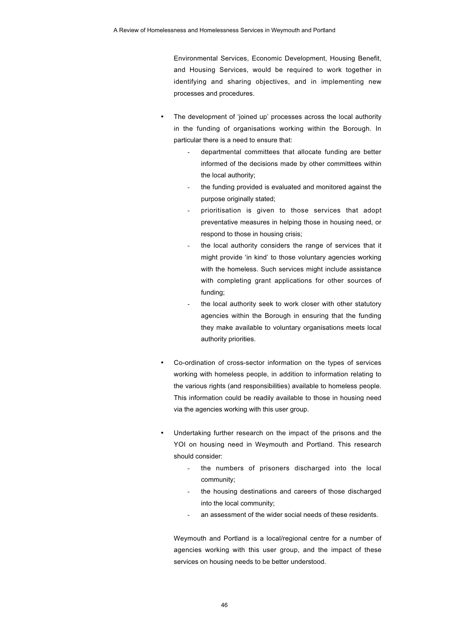Environmental Services, Economic Development, Housing Benefit, and Housing Services, would be required to work together in identifying and sharing objectives, and in implementing new processes and procedures.

- The development of 'joined up' processes across the local authority in the funding of organisations working within the Borough. In particular there is a need to ensure that:
	- departmental committees that allocate funding are better informed of the decisions made by other committees within the local authority;
	- the funding provided is evaluated and monitored against the purpose originally stated;
	- prioritisation is given to those services that adopt preventative measures in helping those in housing need, or respond to those in housing crisis;
	- the local authority considers the range of services that it might provide 'in kind' to those voluntary agencies working with the homeless. Such services might include assistance with completing grant applications for other sources of funding;
	- the local authority seek to work closer with other statutory agencies within the Borough in ensuring that the funding they make available to voluntary organisations meets local authority priorities.
- Co-ordination of cross-sector information on the types of services working with homeless people, in addition to information relating to the various rights (and responsibilities) available to homeless people. This information could be readily available to those in housing need via the agencies working with this user group.
- Undertaking further research on the impact of the prisons and the YOI on housing need in Weymouth and Portland. This research should consider:
	- the numbers of prisoners discharged into the local community;
	- the housing destinations and careers of those discharged into the local community;
	- an assessment of the wider social needs of these residents.

Weymouth and Portland is a local/regional centre for a number of agencies working with this user group, and the impact of these services on housing needs to be better understood.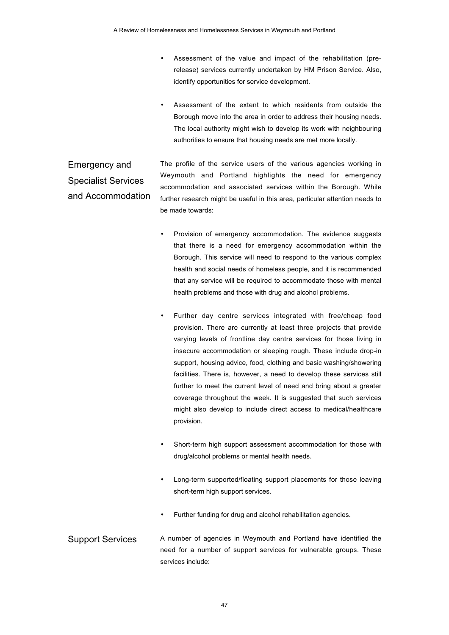- Assessment of the value and impact of the rehabilitation (prerelease) services currently undertaken by HM Prison Service. Also, identify opportunities for service development.
- Assessment of the extent to which residents from outside the Borough move into the area in order to address their housing needs. The local authority might wish to develop its work with neighbouring authorities to ensure that housing needs are met more locally.

#### Emergency and Specialist Services and Accommodation The profile of the service users of the various agencies working in Weymouth and Portland highlights the need for emergency accommodation and associated services within the Borough. While further research might be useful in this area, particular attention needs to be made towards:

- Provision of emergency accommodation. The evidence suggests that there is a need for emergency accommodation within the Borough. This service will need to respond to the various complex health and social needs of homeless people, and it is recommended that any service will be required to accommodate those with mental health problems and those with drug and alcohol problems.
- Further day centre services integrated with free/cheap food provision. There are currently at least three projects that provide varying levels of frontline day centre services for those living in insecure accommodation or sleeping rough. These include drop-in support, housing advice, food, clothing and basic washing/showering facilities. There is, however, a need to develop these services still further to meet the current level of need and bring about a greater coverage throughout the week. It is suggested that such services might also develop to include direct access to medical/healthcare provision.
- Short-term high support assessment accommodation for those with drug/alcohol problems or mental health needs.
- Long-term supported/floating support placements for those leaving short-term high support services.
- Further funding for drug and alcohol rehabilitation agencies.
- Support Services A number of agencies in Weymouth and Portland have identified the need for a number of support services for vulnerable groups. These services include: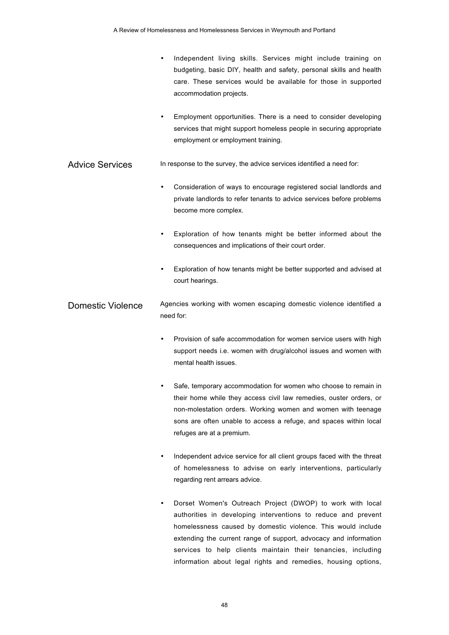• Independent living skills. Services might include training on budgeting, basic DIY, health and safety, personal skills and health care. These services would be available for those in supported accommodation projects. • Employment opportunities. There is a need to consider developing services that might support homeless people in securing appropriate employment or employment training. Advice Services In response to the survey, the advice services identified a need for: • Consideration of ways to encourage registered social landlords and private landlords to refer tenants to advice services before problems become more complex. Exploration of how tenants might be better informed about the consequences and implications of their court order. • Exploration of how tenants might be better supported and advised at court hearings. Domestic Violence Agencies working with women escaping domestic violence identified a need for: Provision of safe accommodation for women service users with high support needs i.e. women with drug/alcohol issues and women with mental health issues. Safe, temporary accommodation for women who choose to remain in their home while they access civil law remedies, ouster orders, or non-molestation orders. Working women and women with teenage sons are often unable to access a refuge, and spaces within local refuges are at a premium. Independent advice service for all client groups faced with the threat of homelessness to advise on early interventions, particularly regarding rent arrears advice. • Dorset Women's Outreach Project (DWOP) to work with local authorities in developing interventions to reduce and prevent homelessness caused by domestic violence. This would include

extending the current range of support, advocacy and information services to help clients maintain their tenancies, including information about legal rights and remedies, housing options,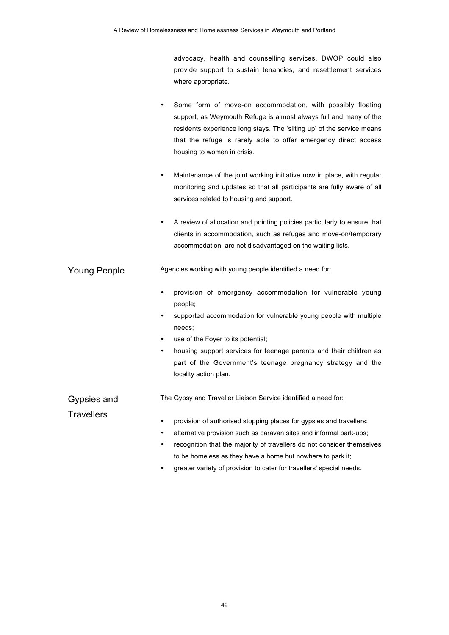advocacy, health and counselling services. DWOP could also provide support to sustain tenancies, and resettlement services where appropriate.

- Some form of move-on accommodation, with possibly floating support, as Weymouth Refuge is almost always full and many of the residents experience long stays. The 'silting up' of the service means that the refuge is rarely able to offer emergency direct access housing to women in crisis.
- Maintenance of the joint working initiative now in place, with regular monitoring and updates so that all participants are fully aware of all services related to housing and support.
- A review of allocation and pointing policies particularly to ensure that clients in accommodation, such as refuges and move-on/temporary accommodation, are not disadvantaged on the waiting lists.

Young People Agencies working with young people identified a need for:

- provision of emergency accommodation for vulnerable young people;
- supported accommodation for vulnerable young people with multiple needs;
- use of the Foyer to its potential;
- housing support services for teenage parents and their children as part of the Government's teenage pregnancy strategy and the locality action plan.

Gypsies and

The Gypsy and Traveller Liaison Service identified a need for:

**Travellers** 

- provision of authorised stopping places for gypsies and travellers;
- alternative provision such as caravan sites and informal park-ups;
- recognition that the majority of travellers do not consider themselves to be homeless as they have a home but nowhere to park it;
- greater variety of provision to cater for travellers' special needs.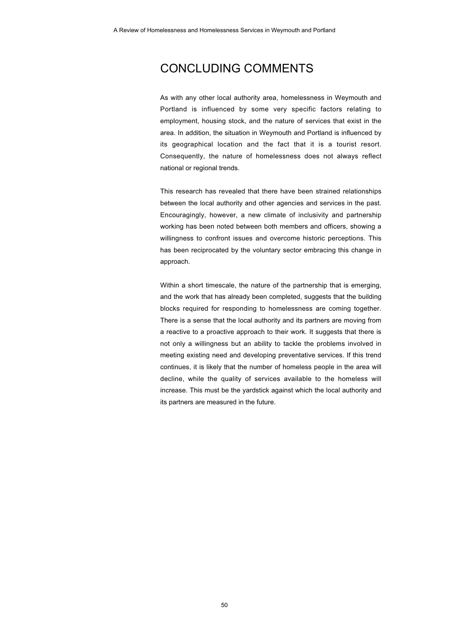## CONCLUDING COMMENTS

As with any other local authority area, homelessness in Weymouth and Portland is influenced by some very specific factors relating to employment, housing stock, and the nature of services that exist in the area. In addition, the situation in Weymouth and Portland is influenced by its geographical location and the fact that it is a tourist resort. Consequently, the nature of homelessness does not always reflect national or regional trends.

This research has revealed that there have been strained relationships between the local authority and other agencies and services in the past. Encouragingly, however, a new climate of inclusivity and partnership working has been noted between both members and officers, showing a willingness to confront issues and overcome historic perceptions. This has been reciprocated by the voluntary sector embracing this change in approach.

Within a short timescale, the nature of the partnership that is emerging, and the work that has already been completed, suggests that the building blocks required for responding to homelessness are coming together. There is a sense that the local authority and its partners are moving from a reactive to a proactive approach to their work. It suggests that there is not only a willingness but an ability to tackle the problems involved in meeting existing need and developing preventative services. If this trend continues, it is likely that the number of homeless people in the area will decline, while the quality of services available to the homeless will increase. This must be the yardstick against which the local authority and its partners are measured in the future.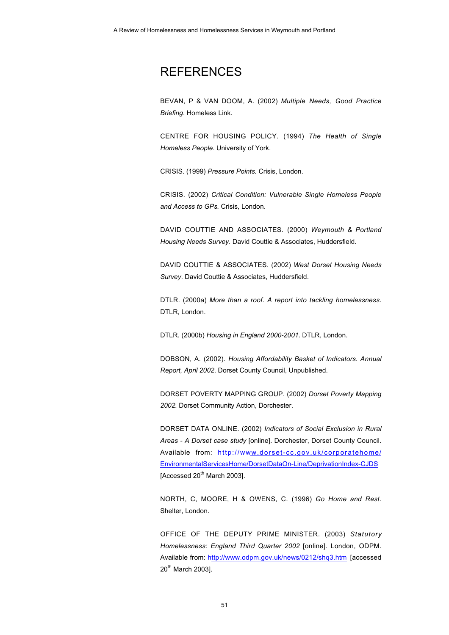## **REFERENCES**

BEVAN, P & VAN DOOM, A. (2002) *Multiple Needs, Good Practice Briefing*. Homeless Link.

CENTRE FOR HOUSING POLICY. (1994) *The Health of Single Homeless People*. University of York.

CRISIS. (1999) *Pressure Points.* Crisis, London.

CRISIS. (2002) *Critical Condition: Vulnerable Single Homeless People and Access to GPs.* Crisis, London.

DAVID COUTTIE AND ASSOCIATES. (2000) *Weymouth & Portland Housing Needs Survey*. David Couttie & Associates, Huddersfield.

DAVID COUTTIE & ASSOCIATES. (2002) *West Dorset Housing Needs Survey*. David Couttie & Associates, Huddersfield.

DTLR. (2000a) *More than a roof. A report into tackling homelessness*. DTLR, London.

DTLR. (2000b) *Housing in England 2000-2001*. DTLR, London.

DOBSON, A. (2002). *Housing Affordability Basket of Indicators. Annual Report, April 2002*. Dorset County Council, Unpublished.

DORSET POVERTY MAPPING GROUP. (2002) *Dorset Poverty Mapping 2002.* Dorset Community Action, Dorchester.

DORSET DATA ONLINE. (2002) *Indicators of Social Exclusion in Rural Areas - A Dorset case study* [online]. Dorchester, Dorset County Council. Available from: http://www.dorset-cc.gov.uk/corporatehome/ EnvironmentalServicesHome/DorsetDataOn-Line/DeprivationIndex-CJDS  $[Accessed 20<sup>th</sup> March 2003]$ .

NORTH, C, MOORE, H & OWENS, C. (1996) *Go Home and Rest.* Shelter, London.

OFFICE OF THE DEPUTY PRIME MINISTER. (2003) *Statutory Homelessness: England Third Quarter 2002* [online]. London, ODPM. Available from: http://www.odpm.gov.uk/news/0212/shq3.htm [accessed 20<sup>th</sup> March 20031.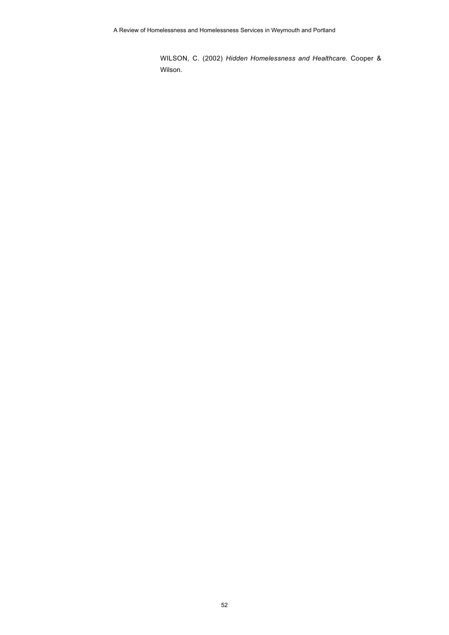WILSON, C. (2002) *Hidden Homelessness and Healthcare*. Cooper & Wilson.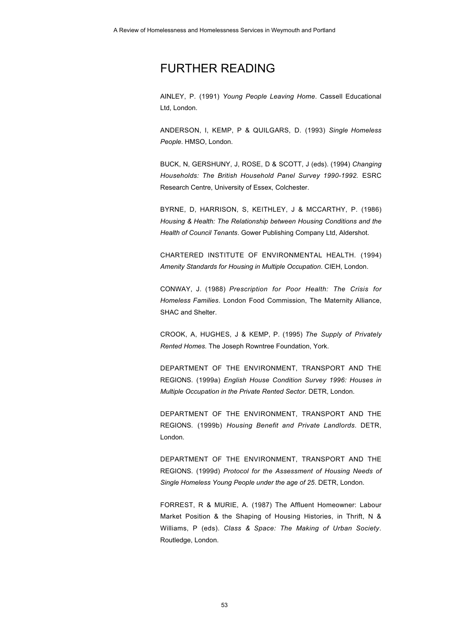## FURTHER READING

AINLEY, P. (1991) *Young People Leaving Home*. Cassell Educational Ltd, London.

ANDERSON, I, KEMP, P & QUILGARS, D. (1993) *Single Homeless People*. HMSO, London.

BUCK, N, GERSHUNY, J, ROSE, D & SCOTT, J (eds). (1994) *Changing Households: The British Household Panel Survey 1990-1992.* ESRC Research Centre, University of Essex, Colchester.

BYRNE, D, HARRISON, S, KEITHLEY, J & MCCARTHY, P. (1986) *Housing & Health: The Relationship between Housing Conditions and the Health of Council Tenants*. Gower Publishing Company Ltd, Aldershot.

CHARTERED INSTITUTE OF ENVIRONMENTAL HEALTH. (1994) *Amenity Standards for Housing in Multiple Occupation*. CIEH, London.

CONWAY, J. (1988) *Prescription for Poor Health: The Crisis for Homeless Families*. London Food Commission, The Maternity Alliance, SHAC and Shelter.

CROOK, A, HUGHES, J & KEMP, P. (1995) *The Supply of Privately Rented Homes.* The Joseph Rowntree Foundation, York.

DEPARTMENT OF THE ENVIRONMENT, TRANSPORT AND THE REGIONS. (1999a) *English House Condition Survey 1996: Houses in Multiple Occupation in the Private Rented Sector.* DETR, London.

DEPARTMENT OF THE ENVIRONMENT, TRANSPORT AND THE REGIONS. (1999b) *Housing Benefit and Private Landlords*. DETR, London.

DEPARTMENT OF THE ENVIRONMENT, TRANSPORT AND THE REGIONS. (1999d) *Protocol for the Assessment of Housing Needs of Single Homeless Young People under the age of 25*. DETR, London.

FORREST, R & MURIE, A. (1987) The Affluent Homeowner: Labour Market Position & the Shaping of Housing Histories, in Thrift, N & Williams, P (eds). *Class & Space: The Making of Urban Society*. Routledge, London.